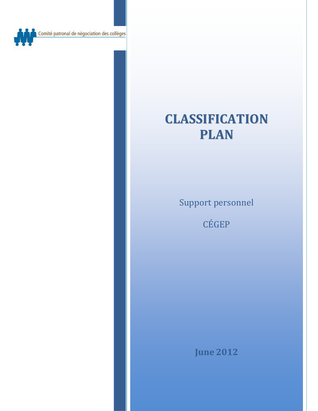Comité patronal de négociation des collèges

# **CLASSIFICATION PLAN**

Support personnel

CÉGEP

**June 2012**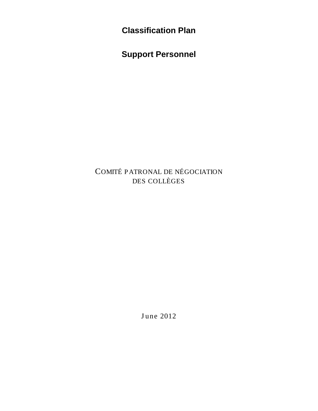**Classification Plan**

**Support Personnel**

COMITÉ P ATRONAL DE NÉGOCIATION DES COLLÈGES

June 2012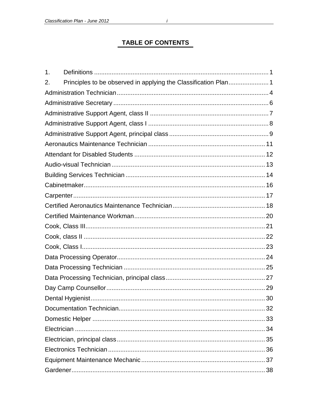## **TABLE OF CONTENTS**

| 1. |  |  |  |
|----|--|--|--|
| 2. |  |  |  |
|    |  |  |  |
|    |  |  |  |
|    |  |  |  |
|    |  |  |  |
|    |  |  |  |
|    |  |  |  |
|    |  |  |  |
|    |  |  |  |
|    |  |  |  |
|    |  |  |  |
|    |  |  |  |
|    |  |  |  |
|    |  |  |  |
|    |  |  |  |
|    |  |  |  |
|    |  |  |  |
|    |  |  |  |
|    |  |  |  |
|    |  |  |  |
|    |  |  |  |
|    |  |  |  |
|    |  |  |  |
|    |  |  |  |
|    |  |  |  |
|    |  |  |  |
|    |  |  |  |
|    |  |  |  |
|    |  |  |  |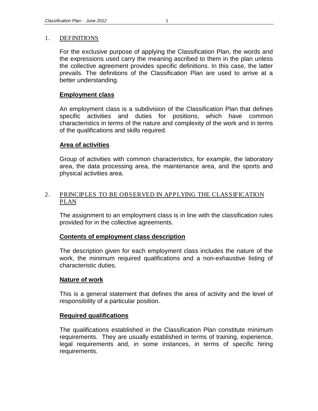## <span id="page-6-0"></span>1. DEFINITIONS

For the exclusive purpose of applying the Classification Plan, the words and the expressions used carry the meaning ascribed to them in the plan unless the collective agreement provides specific definitions. In this case, the latter prevails. The definitions of the Classification Plan are used to arrive at a better understanding.

## **Employment class**

An employment class is a subdivision of the Classification Plan that defines specific activities and duties for positions, which have common characteristics in terms of the nature and complexity of the work and in terms of the qualifications and skills required.

## **Area of activities**

Group of activities with common characteristics, for example, the laboratory area, the data processing area, the maintenance area, and the sports and physical activities area.

## <span id="page-6-1"></span>2. PRINCIPLES TO BE OBSERVED IN APPLYING THE CLASSIFICATION PLAN

The assignment to an employment class is in line with the classification rules provided for in the collective agreements.

## **Contents of employment class description**

The description given for each employment class includes the nature of the work, the minimum required qualifications and a non-exhaustive listing of characteristic duties.

## **Nature of work**

This is a general statement that defines the area of activity and the level of responsibility of a particular position.

## **Required qualifications**

The qualifications established in the Classification Plan constitute minimum requirements. They are usually established in terms of training, experience, legal requirements and, in some instances, in terms of specific hiring requirements.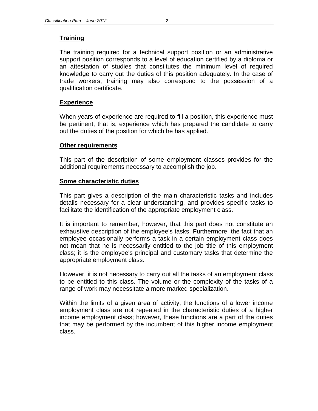## **Training**

The training required for a technical support position or an administrative support position corresponds to a level of education certified by a diploma or an attestation of studies that constitutes the minimum level of required knowledge to carry out the duties of this position adequately. In the case of trade workers, training may also correspond to the possession of a qualification certificate.

## **Experience**

When years of experience are required to fill a position, this experience must be pertinent, that is, experience which has prepared the candidate to carry out the duties of the position for which he has applied.

## **Other requirements**

This part of the description of some employment classes provides for the additional requirements necessary to accomplish the job.

## **Some characteristic duties**

This part gives a description of the main characteristic tasks and includes details necessary for a clear understanding, and provides specific tasks to facilitate the identification of the appropriate employment class.

It is important to remember, however, that this part does not constitute an exhaustive description of the employee's tasks. Furthermore, the fact that an employee occasionally performs a task in a certain employment class does not mean that he is necessarily entitled to the job title of this employment class; it is the employee's principal and customary tasks that determine the appropriate employment class.

However, it is not necessary to carry out all the tasks of an employment class to be entitled to this class. The volume or the complexity of the tasks of a range of work may necessitate a more marked specialization.

Within the limits of a given area of activity, the functions of a lower income employment class are not repeated in the characteristic duties of a higher income employment class; however, these functions are a part of the duties that may be performed by the incumbent of this higher income employment class.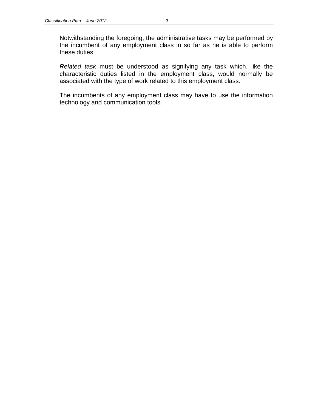*Related task* must be understood as signifying any task which, like the characteristic duties listed in the employment class, would normally be associated with the type of work related to this employment class.

The incumbents of any employment class may have to use the information technology and communication tools.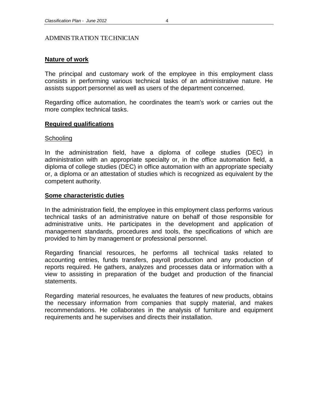#### <span id="page-9-0"></span>ADMINISTRATION TECHNICIAN

## **Nature of work**

The principal and customary work of the employee in this employment class consists in performing various technical tasks of an administrative nature. He assists support personnel as well as users of the department concerned.

Regarding office automation, he coordinates the team's work or carries out the more complex technical tasks.

## **Required qualifications**

#### Schooling

In the administration field, have a diploma of college studies (DEC) in administration with an appropriate specialty or, in the office automation field, a diploma of college studies (DEC) in office automation with an appropriate specialty or, a diploma or an attestation of studies which is recognized as equivalent by the competent authority.

#### **Some characteristic duties**

In the administration field, the employee in this employment class performs various technical tasks of an administrative nature on behalf of those responsible for administrative units. He participates in the development and application of management standards, procedures and tools, the specifications of which are provided to him by management or professional personnel.

Regarding financial resources, he performs all technical tasks related to accounting entries, funds transfers, payroll production and any production of reports required. He gathers, analyzes and processes data or information with a view to assisting in preparation of the budget and production of the financial statements.

Regarding material resources, he evaluates the features of new products, obtains the necessary information from companies that supply material, and makes recommendations. He collaborates in the analysis of furniture and equipment requirements and he supervises and directs their installation.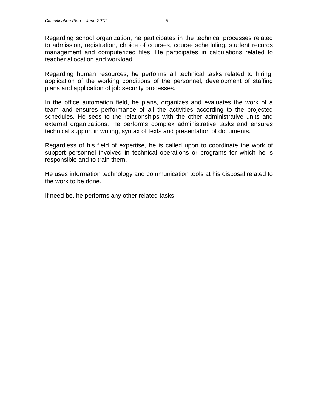Regarding human resources, he performs all technical tasks related to hiring, application of the working conditions of the personnel, development of staffing plans and application of job security processes.

In the office automation field, he plans, organizes and evaluates the work of a team and ensures performance of all the activities according to the projected schedules. He sees to the relationships with the other administrative units and external organizations. He performs complex administrative tasks and ensures technical support in writing, syntax of texts and presentation of documents.

Regardless of his field of expertise, he is called upon to coordinate the work of support personnel involved in technical operations or programs for which he is responsible and to train them.

He uses information technology and communication tools at his disposal related to the work to be done.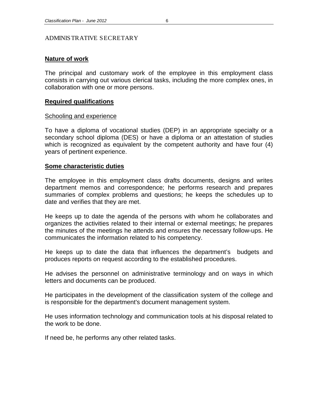#### <span id="page-11-0"></span>ADMINISTRATIVE SECRETARY

#### **Nature of work**

The principal and customary work of the employee in this employment class consists in carrying out various clerical tasks, including the more complex ones, in collaboration with one or more persons.

#### **Required qualifications**

#### **Schooling and experience**

To have a diploma of vocational studies (DEP) in an appropriate specialty or a secondary school diploma (DES) or have a diploma or an attestation of studies which is recognized as equivalent by the competent authority and have four (4) years of pertinent experience.

#### **Some characteristic duties**

The employee in this employment class drafts documents, designs and writes department memos and correspondence; he performs research and prepares summaries of complex problems and questions; he keeps the schedules up to date and verifies that they are met.

He keeps up to date the agenda of the persons with whom he collaborates and organizes the activities related to their internal or external meetings; he prepares the minutes of the meetings he attends and ensures the necessary follow-ups. He communicates the information related to his competency.

He keeps up to date the data that influences the department's budgets and produces reports on request according to the established procedures.

He advises the personnel on administrative terminology and on ways in which letters and documents can be produced.

He participates in the development of the classification system of the college and is responsible for the department's document management system.

He uses information technology and communication tools at his disposal related to the work to be done.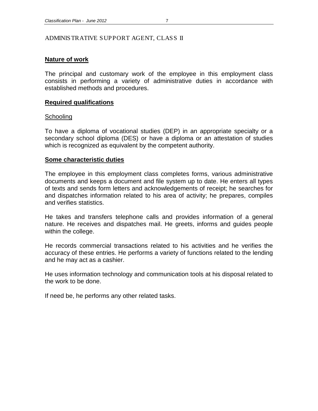## <span id="page-12-0"></span>**Nature of work**

The principal and customary work of the employee in this employment class consists in performing a variety of administrative duties in accordance with established methods and procedures.

## **Required qualifications**

## **Schooling**

To have a diploma of vocational studies (DEP) in an appropriate specialty or a secondary school diploma (DES) or have a diploma or an attestation of studies which is recognized as equivalent by the competent authority.

## **Some characteristic duties**

The employee in this employment class completes forms, various administrative documents and keeps a document and file system up to date. He enters all types of texts and sends form letters and acknowledgements of receipt; he searches for and dispatches information related to his area of activity; he prepares, compiles and verifies statistics.

He takes and transfers telephone calls and provides information of a general nature. He receives and dispatches mail. He greets, informs and guides people within the college.

He records commercial transactions related to his activities and he verifies the accuracy of these entries. He performs a variety of functions related to the lending and he may act as a cashier.

He uses information technology and communication tools at his disposal related to the work to be done.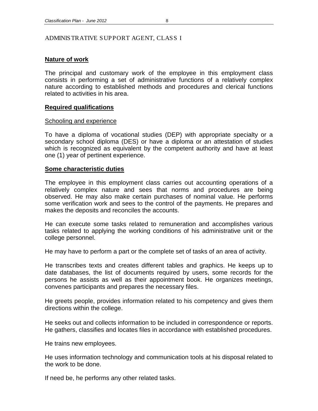## <span id="page-13-0"></span>**Nature of work**

The principal and customary work of the employee in this employment class consists in performing a set of administrative functions of a relatively complex nature according to established methods and procedures and clerical functions related to activities in his area.

## **Required qualifications**

## Schooling and experience

To have a diploma of vocational studies (DEP) with appropriate specialty or a secondary school diploma (DES) or have a diploma or an attestation of studies which is recognized as equivalent by the competent authority and have at least one (1) year of pertinent experience.

## **Some characteristic duties**

The employee in this employment class carries out accounting operations of a relatively complex nature and sees that norms and procedures are being observed. He may also make certain purchases of nominal value. He performs some verification work and sees to the control of the payments. He prepares and makes the deposits and reconciles the accounts.

He can execute some tasks related to remuneration and accomplishes various tasks related to applying the working conditions of his administrative unit or the college personnel.

He may have to perform a part or the complete set of tasks of an area of activity.

He transcribes texts and creates different tables and graphics. He keeps up to date databases, the list of documents required by users, some records for the persons he assists as well as their appointment book. He organizes meetings, convenes participants and prepares the necessary files.

He greets people, provides information related to his competency and gives them directions within the college.

He seeks out and collects information to be included in correspondence or reports. He gathers, classifies and locates files in accordance with established procedures.

He trains new employees.

He uses information technology and communication tools at his disposal related to the work to be done.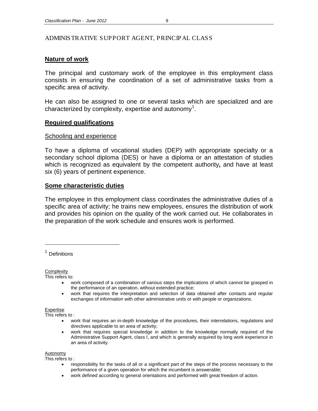## <span id="page-14-0"></span>ADMINISTRATIVE SUPPORT AGENT, PRINCIPAL CLASS

## **Nature of work**

The principal and customary work of the employee in this employment class consists in ensuring the coordination of a set of administrative tasks from a specific area of activity.

He can also be assigned to one or several tasks which are specialized and are characterized by complexity, expertise and autonomy<sup>[1](#page-14-1)</sup>.

## **Required qualifications**

#### Schooling and experience

To have a diploma of vocational studies (DEP) with appropriate specialty or a secondary school diploma (DES) or have a diploma or an attestation of studies which is recognized as equivalent by the competent authority**,** and have at least six (6) years of pertinent experience.

## **Some characteristic duties**

The employee in this employment class coordinates the administrative duties of a specific area of activity; he trains new employees, ensures the distribution of work and provides his opinion on the quality of the work carried out. He collaborates in the preparation of the work schedule and ensures work is performed.

<span id="page-14-1"></span>**Definitions** 

 $\overline{a}$ 

**Complexity** 

This refers to:

- work composed of a combination of various steps the implications of which cannot be grasped in the performance of an operation, without extended practice;
- work that requires the interpretation and selection of data obtained after contacts and regular exchanges of information with other administrative units or with people or organizations.

Expertise

This refers to :

- work that requires an in-depth knowledge of the procedures, their interrelations, requlations and directives applicable to an area of activity;
- work that requires special knowledge in addition to the knowledge normally required of the Administrative Support Agent, class I, and which is generally acquired by long work experience in an area of activity.

#### Autonomy

This refers to :

- responsibility for the tasks of all or a significant part of the steps of the process necessary to the performance of a given operation for which the incumbent is answerable;
- work defined according to general orientations and performed with great freedom of action.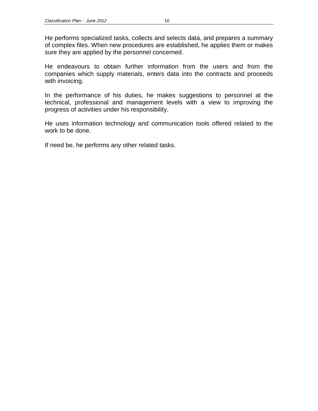He endeavours to obtain further information from the users and from the companies which supply materials, enters data into the contracts and proceeds with invoicing.

In the performance of his duties, he makes suggestions to personnel at the technical, professional and management levels with a view to improving the progress of activities under his responsibility.

He uses information technology and communication tools offered related to the work to be done.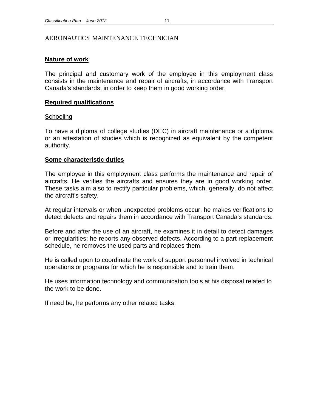#### <span id="page-16-0"></span>AERONAUTICS MAINTENANCE TECHNICIAN

## **Nature of work**

The principal and customary work of the employee in this employment class consists in the maintenance and repair of aircrafts, in accordance with Transport Canada's standards, in order to keep them in good working order.

## **Required qualifications**

## **Schooling**

To have a diploma of college studies (DEC) in aircraft maintenance or a diploma or an attestation of studies which is recognized as equivalent by the competent authority.

## **Some characteristic duties**

The employee in this employment class performs the maintenance and repair of aircrafts. He verifies the aircrafts and ensures they are in good working order. These tasks aim also to rectify particular problems, which, generally, do not affect the aircraft's safety.

At regular intervals or when unexpected problems occur, he makes verifications to detect defects and repairs them in accordance with Transport Canada's standards.

Before and after the use of an aircraft, he examines it in detail to detect damages or irregularities; he reports any observed defects. According to a part replacement schedule, he removes the used parts and replaces them.

He is called upon to coordinate the work of support personnel involved in technical operations or programs for which he is responsible and to train them.

He uses information technology and communication tools at his disposal related to the work to be done.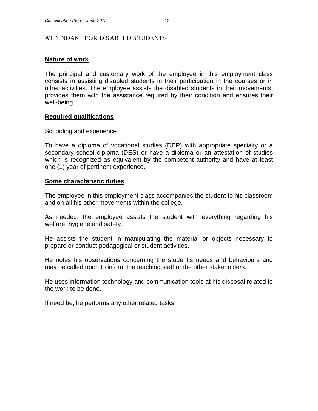#### <span id="page-17-0"></span>ATTENDANT FOR DISABLED STUDENTS

## **Nature of work**

The principal and customary work of the employee in this employment class consists in assisting disabled students in their participation in the courses or in other activities. The employee assists the disabled students in their movements, provides them with the assistance required by their condition and ensures their well-being.

## **Required qualifications**

## Schooling and experience

To have a diploma of vocational studies (DEP) with appropriate specialty or a secondary school diploma (DES) or have a diploma or an attestation of studies which is recognized as equivalent by the competent authority and have at least one (1) year of pertinent experience.

## **Some characteristic duties**

The employee in this employment class accompanies the student to his classroom and on all his other movements within the college.

As needed, the employee assists the student with everything regarding his welfare, hygiene and safety.

He assists the student in manipulating the material or objects necessary to prepare or conduct pedagogical or student activities.

He notes his observations concerning the student's needs and behaviours and may be called upon to inform the teaching staff or the other stakeholders.

He uses information technology and communication tools at his disposal related to the work to be done.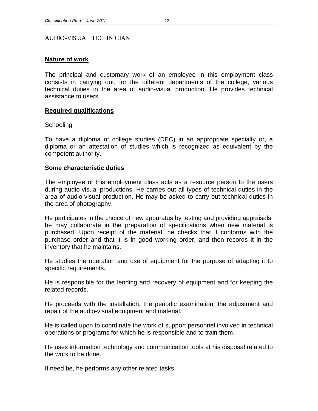#### <span id="page-18-0"></span>AUDIO-VISUAL TECHNICIAN

## **Nature of work**

The principal and customary work of an employee in this employment class consists in carrying out, for the different departments of the college, various technical duties in the area of audio-visual production. He provides technical assistance to users.

## **Required qualifications**

#### **Schooling**

To have a diploma of college studies (DEC) in an appropriate specialty or, a diploma or an attestation of studies which is recognized as equivalent by the competent authority.

#### **Some characteristic duties**

The employee of this employment class acts as a resource person to the users during audio-visual productions. He carries out all types of technical duties in the area of audio-visual production. He may be asked to carry out technical duties in the area of photography.

He participates in the choice of new apparatus by testing and providing appraisals; he may collaborate in the preparation of specifications when new material is purchased. Upon receipt of the material, he checks that it conforms with the purchase order and that it is in good working order, and then records it in the inventory that he maintains.

He studies the operation and use of equipment for the purpose of adapting it to specific requirements.

He is responsible for the lending and recovery of equipment and for keeping the related records.

He proceeds with the installation, the periodic examination, the adjustment and repair of the audio-visual equipment and material.

He is called upon to coordinate the work of support personnel involved in technical operations or programs for which he is responsible and to train them.

He uses information technology and communication tools at his disposal related to the work to be done.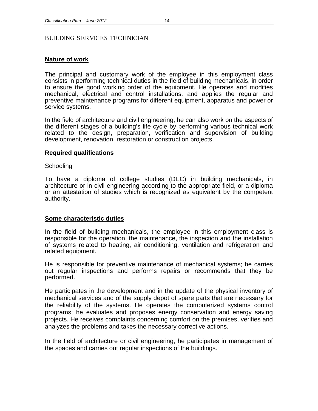## <span id="page-19-0"></span>BUILDING SERVICES TECHNICIAN

## **Nature of work**

The principal and customary work of the employee in this employment class consists in performing technical duties in the field of building mechanicals, in order to ensure the good working order of the equipment. He operates and modifies mechanical, electrical and control installations, and applies the regular and preventive maintenance programs for different equipment, apparatus and power or service systems.

In the field of architecture and civil engineering, he can also work on the aspects of the different stages of a building's life cycle by performing various technical work related to the design, preparation, verification and supervision of building development, renovation, restoration or construction projects.

## **Required qualifications**

#### **Schooling**

To have a diploma of college studies (DEC) in building mechanicals, in architecture or in civil engineering according to the appropriate field, or a diploma or an attestation of studies which is recognized as equivalent by the competent authority.

#### **Some characteristic duties**

In the field of building mechanicals, the employee in this employment class is responsible for the operation, the maintenance, the inspection and the installation of systems related to heating, air conditioning, ventilation and refrigeration and related equipment.

He is responsible for preventive maintenance of mechanical systems; he carries out regular inspections and performs repairs or recommends that they be performed.

He participates in the development and in the update of the physical inventory of mechanical services and of the supply depot of spare parts that are necessary for the reliability of the systems. He operates the computerized systems control programs; he evaluates and proposes energy conservation and energy saving projects. He receives complaints concerning comfort on the premises, verifies and analyzes the problems and takes the necessary corrective actions.

In the field of architecture or civil engineering, he participates in management of the spaces and carries out regular inspections of the buildings.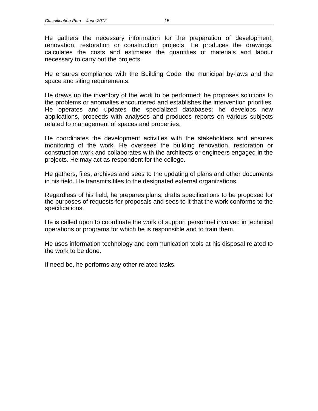He gathers the necessary information for the preparation of development, renovation, restoration or construction projects. He produces the drawings, calculates the costs and estimates the quantities of materials and labour necessary to carry out the projects.

He ensures compliance with the Building Code, the municipal by-laws and the space and siting requirements.

He draws up the inventory of the work to be performed; he proposes solutions to the problems or anomalies encountered and establishes the intervention priorities. He operates and updates the specialized databases; he develops new applications, proceeds with analyses and produces reports on various subjects related to management of spaces and properties.

He coordinates the development activities with the stakeholders and ensures monitoring of the work. He oversees the building renovation, restoration or construction work and collaborates with the architects or engineers engaged in the projects. He may act as respondent for the college.

He gathers, files, archives and sees to the updating of plans and other documents in his field. He transmits files to the designated external organizations.

Regardless of his field, he prepares plans, drafts specifications to be proposed for the purposes of requests for proposals and sees to it that the work conforms to the specifications.

He is called upon to coordinate the work of support personnel involved in technical operations or programs for which he is responsible and to train them.

He uses information technology and communication tools at his disposal related to the work to be done.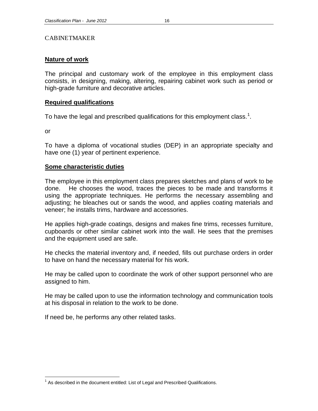#### <span id="page-21-0"></span>CABINETMAKER

## **Nature of work**

The principal and customary work of the employee in this employment class consists, in designing, making, altering, repairing cabinet work such as period or high-grade furniture and decorative articles.

### **Required qualifications**

To have the legal and prescribed qualifications for this employment class.<sup>[1](#page-21-1)</sup>.

or

To have a diploma of vocational studies (DEP) in an appropriate specialty and have one (1) year of pertinent experience.

## **Some characteristic duties**

The employee in this employment class prepares sketches and plans of work to be done. He chooses the wood, traces the pieces to be made and transforms it using the appropriate techniques. He performs the necessary assembling and adjusting; he bleaches out or sands the wood, and applies coating materials and veneer; he installs trims, hardware and accessories.

He applies high-grade coatings, designs and makes fine trims, recesses furniture, cupboards or other similar cabinet work into the wall. He sees that the premises and the equipment used are safe.

He checks the material inventory and, if needed, fills out purchase orders in order to have on hand the necessary material for his work.

He may be called upon to coordinate the work of other support personnel who are assigned to him.

He may be called upon to use the information technology and communication tools at his disposal in relation to the work to be done.

<span id="page-21-1"></span> $<sup>1</sup>$  As described in the document entitled: List of Legal and Prescribed Qualifications.</sup>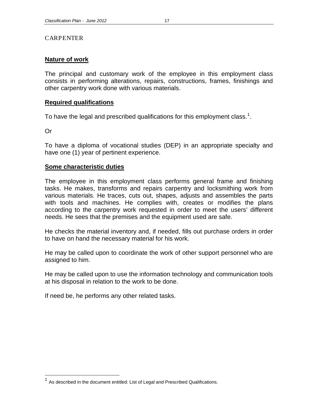### <span id="page-22-0"></span>CARPENTER

## **Nature of work**

The principal and customary work of the employee in this employment class consists in performing alterations, repairs, constructions, frames, finishings and other carpentry work done with various materials.

## **Required qualifications**

To have the legal and prescribed qualifications for this employment class.<sup>[1](#page-22-1)</sup>.

Or

To have a diploma of vocational studies (DEP) in an appropriate specialty and have one (1) year of pertinent experience.

## **Some characteristic duties**

The employee in this employment class performs general frame and finishing tasks. He makes, transforms and repairs carpentry and locksmithing work from various materials. He traces, cuts out, shapes, adjusts and assembles the parts with tools and machines. He complies with, creates or modifies the plans according to the carpentry work requested in order to meet the users' different needs. He sees that the premises and the equipment used are safe.

He checks the material inventory and, if needed, fills out purchase orders in order to have on hand the necessary material for his work.

He may be called upon to coordinate the work of other support personnel who are assigned to him.

He may be called upon to use the information technology and communication tools at his disposal in relation to the work to be done.

<span id="page-22-1"></span> $1$  As described in the document entitled: List of Legal and Prescribed Qualifications.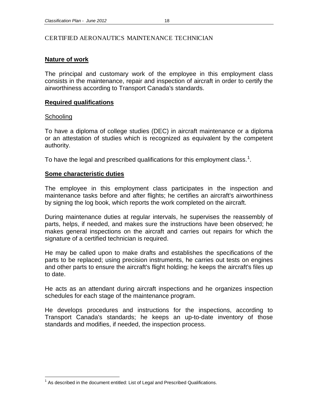## <span id="page-23-0"></span>CERTIFIED AERONAUTICS MAINTENANCE TECHNICIAN

## **Nature of work**

The principal and customary work of the employee in this employment class consists in the maintenance, repair and inspection of aircraft in order to certify the airworthiness according to Transport Canada's standards.

## **Required qualifications**

## **Schooling**

To have a diploma of college studies (DEC) in aircraft maintenance or a diploma or an attestation of studies which is recognized as equivalent by the competent authority.

To have the legal and prescribed qualifications for this employment class.<sup>[1](#page-23-1)</sup>.

## **Some characteristic duties**

The employee in this employment class participates in the inspection and maintenance tasks before and after flights; he certifies an aircraft's airworthiness by signing the log book, which reports the work completed on the aircraft.

During maintenance duties at regular intervals, he supervises the reassembly of parts, helps, if needed, and makes sure the instructions have been observed; he makes general inspections on the aircraft and carries out repairs for which the signature of a certified technician is required.

He may be called upon to make drafts and establishes the specifications of the parts to be replaced; using precision instruments, he carries out tests on engines and other parts to ensure the aircraft's flight holding; he keeps the aircraft's files up to date.

He acts as an attendant during aircraft inspections and he organizes inspection schedules for each stage of the maintenance program.

He develops procedures and instructions for the inspections, according to Transport Canada's standards; he keeps an up-to-date inventory of those standards and modifies, if needed, the inspection process.

<span id="page-23-1"></span> $<sup>1</sup>$  As described in the document entitled: List of Legal and Prescribed Qualifications.</sup>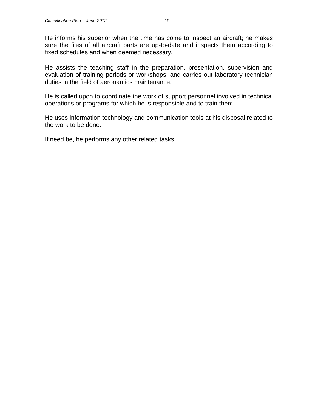He informs his superior when the time has come to inspect an aircraft; he makes sure the files of all aircraft parts are up-to-date and inspects them according to fixed schedules and when deemed necessary.

He assists the teaching staff in the preparation, presentation, supervision and evaluation of training periods or workshops, and carries out laboratory technician duties in the field of aeronautics maintenance.

He is called upon to coordinate the work of support personnel involved in technical operations or programs for which he is responsible and to train them.

He uses information technology and communication tools at his disposal related to the work to be done.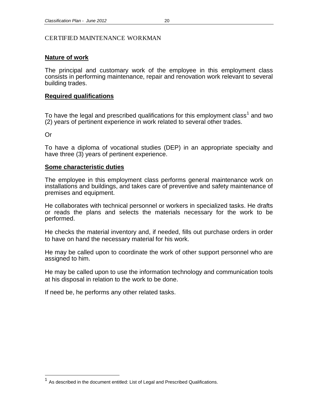## <span id="page-25-0"></span>CERTIFIED MAINTENANCE WORKMAN

#### **Nature of work**

The principal and customary work of the employee in this employment class consists in performing maintenance, repair and renovation work relevant to several building trades.

#### **Required qualifications**

To have the legal and prescribed qualifications for this employment class<sup>[1](#page-25-1)</sup> and two (2) years of pertinent experience in work related to several other trades.

Or

To have a diploma of vocational studies (DEP) in an appropriate specialty and have three (3) years of pertinent experience.

#### **Some characteristic duties**

The employee in this employment class performs general maintenance work on installations and buildings, and takes care of preventive and safety maintenance of premises and equipment.

He collaborates with technical personnel or workers in specialized tasks. He drafts or reads the plans and selects the materials necessary for the work to be performed.

He checks the material inventory and, if needed, fills out purchase orders in order to have on hand the necessary material for his work.

He may be called upon to coordinate the work of other support personnel who are assigned to him.

He may be called upon to use the information technology and communication tools at his disposal in relation to the work to be done.

<span id="page-25-1"></span><sup>&</sup>lt;sup>1</sup> As described in the document entitled: List of Legal and Prescribed Qualifications.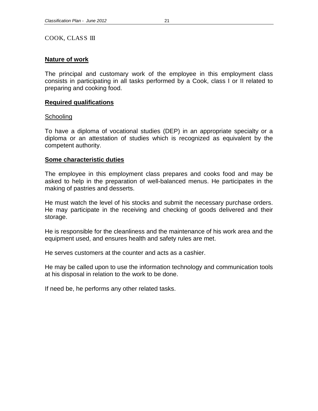<span id="page-26-0"></span>COOK, CLASS III

## **Nature of work**

The principal and customary work of the employee in this employment class consists in participating in all tasks performed by a Cook, class I or II related to preparing and cooking food.

## **Required qualifications**

## **Schooling**

To have a diploma of vocational studies (DEP) in an appropriate specialty or a diploma or an attestation of studies which is recognized as equivalent by the competent authority.

## **Some characteristic duties**

The employee in this employment class prepares and cooks food and may be asked to help in the preparation of well-balanced menus. He participates in the making of pastries and desserts.

He must watch the level of his stocks and submit the necessary purchase orders. He may participate in the receiving and checking of goods delivered and their storage.

He is responsible for the cleanliness and the maintenance of his work area and the equipment used, and ensures health and safety rules are met.

He serves customers at the counter and acts as a cashier.

He may be called upon to use the information technology and communication tools at his disposal in relation to the work to be done.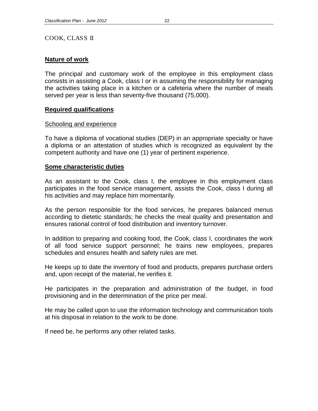### <span id="page-27-0"></span>COOK, CLASS II

## **Nature of work**

The principal and customary work of the employee in this employment class consists in assisting a Cook, class I or in assuming the responsibility for managing the activities taking place in a kitchen or a cafeteria where the number of meals served per year is less than seventy-five thousand (75,000).

## **Required qualifications**

#### Schooling and experience

To have a diploma of vocational studies (DEP) in an appropriate specialty or have a diploma or an attestation of studies which is recognized as equivalent by the competent authority and have one (1) year of pertinent experience.

#### **Some characteristic duties**

As an assistant to the Cook, class I, the employee in this employment class participates in the food service management, assists the Cook, class I during all his activities and may replace him momentarily.

As the person responsible for the food services, he prepares balanced menus according to dietetic standards; he checks the meal quality and presentation and ensures rational control of food distribution and inventory turnover.

In addition to preparing and cooking food, the Cook, class I, coordinates the work of all food service support personnel; he trains new employees, prepares schedules and ensures health and safety rules are met.

He keeps up to date the inventory of food and products, prepares purchase orders and, upon receipt of the material, he verifies it.

He participates in the preparation and administration of the budget, in food provisioning and in the determination of the price per meal.

He may be called upon to use the information technology and communication tools at his disposal in relation to the work to be done.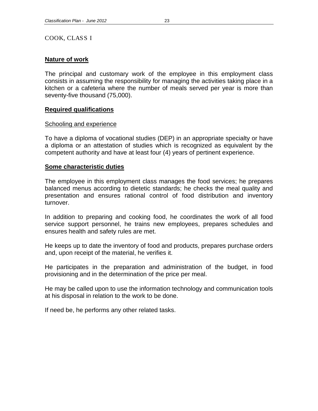### <span id="page-28-0"></span>COOK, CLASS I

## **Nature of work**

The principal and customary work of the employee in this employment class consists in assuming the responsibility for managing the activities taking place in a kitchen or a cafeteria where the number of meals served per year is more than seventy-five thousand (75,000).

## **Required qualifications**

#### Schooling and experience

To have a diploma of vocational studies (DEP) in an appropriate specialty or have a diploma or an attestation of studies which is recognized as equivalent by the competent authority and have at least four (4) years of pertinent experience.

#### **Some characteristic duties**

The employee in this employment class manages the food services; he prepares balanced menus according to dietetic standards; he checks the meal quality and presentation and ensures rational control of food distribution and inventory turnover.

In addition to preparing and cooking food, he coordinates the work of all food service support personnel, he trains new employees, prepares schedules and ensures health and safety rules are met.

He keeps up to date the inventory of food and products, prepares purchase orders and, upon receipt of the material, he verifies it.

He participates in the preparation and administration of the budget, in food provisioning and in the determination of the price per meal.

He may be called upon to use the information technology and communication tools at his disposal in relation to the work to be done.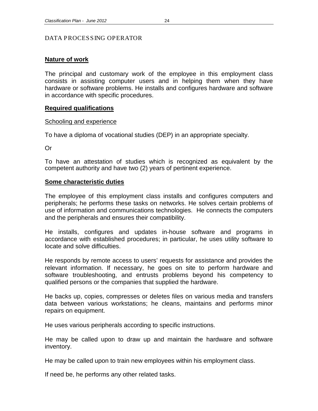## <span id="page-29-0"></span>DATA PROCESSING OPERATOR

## **Nature of work**

The principal and customary work of the employee in this employment class consists in assisting computer users and in helping them when they have hardware or software problems. He installs and configures hardware and software in accordance with specific procedures.

## **Required qualifications**

#### Schooling and experience

To have a diploma of vocational studies (DEP) in an appropriate specialty.

Or

To have an attestation of studies which is recognized as equivalent by the competent authority and have two (2) years of pertinent experience.

## **Some characteristic duties**

The employee of this employment class installs and configures computers and peripherals; he performs these tasks on networks. He solves certain problems of use of information and communications technologies. He connects the computers and the peripherals and ensures their compatibility.

He installs, configures and updates in-house software and programs in accordance with established procedures; in particular, he uses utility software to locate and solve difficulties.

He responds by remote access to users' requests for assistance and provides the relevant information. If necessary, he goes on site to perform hardware and software troubleshooting, and entrusts problems beyond his competency to qualified persons or the companies that supplied the hardware.

He backs up, copies, compresses or deletes files on various media and transfers data between various workstations; he cleans, maintains and performs minor repairs on equipment.

He uses various peripherals according to specific instructions.

He may be called upon to draw up and maintain the hardware and software inventory.

He may be called upon to train new employees within his employment class.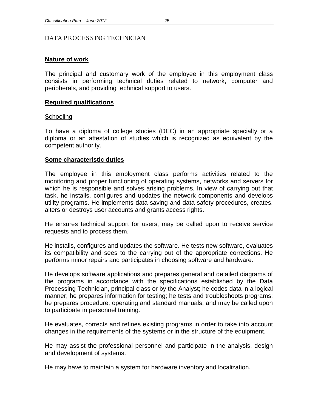#### <span id="page-30-0"></span>DATA PROCESSING TECHNICIAN

## **Nature of work**

The principal and customary work of the employee in this employment class consists in performing technical duties related to network, computer and peripherals, and providing technical support to users.

## **Required qualifications**

#### **Schooling**

To have a diploma of college studies (DEC) in an appropriate specialty or a diploma or an attestation of studies which is recognized as equivalent by the competent authority.

## **Some characteristic duties**

The employee in this employment class performs activities related to the monitoring and proper functioning of operating systems, networks and servers for which he is responsible and solves arising problems. In view of carrying out that task, he installs, configures and updates the network components and develops utility programs. He implements data saving and data safety procedures, creates, alters or destroys user accounts and grants access rights.

He ensures technical support for users, may be called upon to receive service requests and to process them.

He installs, configures and updates the software. He tests new software, evaluates its compatibility and sees to the carrying out of the appropriate corrections. He performs minor repairs and participates in choosing software and hardware.

He develops software applications and prepares general and detailed diagrams of the programs in accordance with the specifications established by the Data Processing Technician, principal class or by the Analyst; he codes data in a logical manner; he prepares information for testing; he tests and troubleshoots programs; he prepares procedure, operating and standard manuals, and may be called upon to participate in personnel training.

He evaluates, corrects and refines existing programs in order to take into account changes in the requirements of the systems or in the structure of the equipment.

He may assist the professional personnel and participate in the analysis, design and development of systems.

He may have to maintain a system for hardware inventory and localization.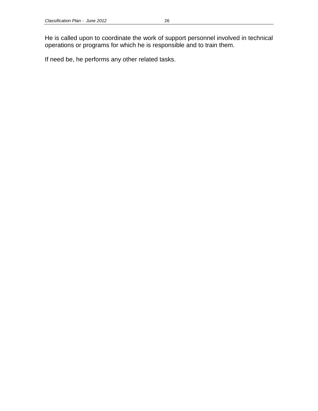He is called upon to coordinate the work of support personnel involved in technical operations or programs for which he is responsible and to train them.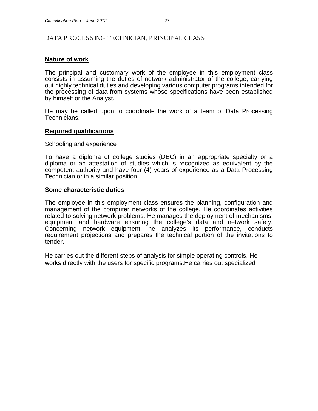## <span id="page-32-0"></span>DATA PROCESSING TECHNICIAN, PRINCIPAL CLASS

## **Nature of work**

The principal and customary work of the employee in this employment class consists in assuming the duties of network administrator of the college, carrying out highly technical duties and developing various computer programs intended for the processing of data from systems whose specifications have been established by himself or the Analyst.

He may be called upon to coordinate the work of a team of Data Processing Technicians.

#### **Required qualifications**

#### Schooling and experience

To have a diploma of college studies (DEC) in an appropriate specialty or a diploma or an attestation of studies which is recognized as equivalent by the competent authority and have four (4) years of experience as a Data Processing Technician or in a similar position.

#### **Some characteristic duties**

The employee in this employment class ensures the planning, configuration and management of the computer networks of the college. He coordinates activities related to solving network problems. He manages the deployment of mechanisms, equipment and hardware ensuring the college's data and network safety. Concerning network equipment, he analyzes its performance, conducts requirement projections and prepares the technical portion of the invitations to tender.

He carries out the different steps of analysis for simple operating controls. He works directly with the users for specific programs.He carries out specialized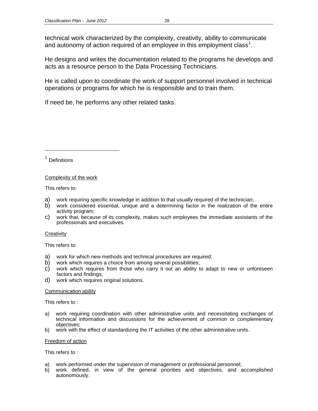technical work characterized by the complexity, creativity, ability to communicate and autonomy of action required of an employee in this employment class<sup>[1](#page-33-0)</sup>.

He designs and writes the documentation related to the programs he develops and acts as a resource person to the Data Processing Technicians.

He is called upon to coordinate the work of support personnel involved in technical operations or programs for which he is responsible and to train them.

If need be, he performs any other related tasks.

<span id="page-33-0"></span><sup>1</sup> Definitions

 $\overline{a}$ 

#### Complexity of the work

This refers to:

- a) work requiring specific knowledge in addition to that usually required of the technician;
- b) work considered essential, unique and a determining factor in the realization of the entire activity program;
- c) work that, because of its complexity, makes such employees the immediate assistants of the professionals and executives.

#### **Creativity**

This refers to:

- a) work for which new methods and technical procedures are required;
- b) work which requires a choice from among several possibilities;
- c) work which requires from those who carry it out an ability to adapt to new or unforeseen factors and findings;
- d) work which requires original solutions.

#### Communication ability

This refers to :

- a) work requiring coordination with other administrative units and necessitating exchanges of technical information and discussions for the achievement of common or complementary objectives;
- b) work with the effect of standardizing the IT activities of the other administrative units.

#### Freedom of action

This refers to :

- a) work performed under the supervision of management or professional personnel;
- b) work defined, in view of the general priorities and objectives, and accomplished autonomously.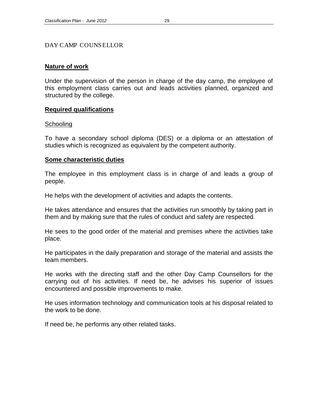## <span id="page-34-0"></span>DAY CAMP COUNSELLOR

#### **Nature of work**

Under the supervision of the person in charge of the day camp, the employee of this employment class carries out and leads activities planned, organized and structured by the college.

#### **Required qualifications**

#### **Schooling**

To have a secondary school diploma (DES) or a diploma or an attestation of studies which is recognized as equivalent by the competent authority.

#### **Some characteristic duties**

The employee in this employment class is in charge of and leads a group of people.

He helps with the development of activities and adapts the contents.

He takes attendance and ensures that the activities run smoothly by taking part in them and by making sure that the rules of conduct and safety are respected.

He sees to the good order of the material and premises where the activities take place.

He participates in the daily preparation and storage of the material and assists the team members.

He works with the directing staff and the other Day Camp Counsellors for the carrying out of his activities. If need be, he advises his superior of issues encountered and possible improvements to make.

He uses information technology and communication tools at his disposal related to the work to be done.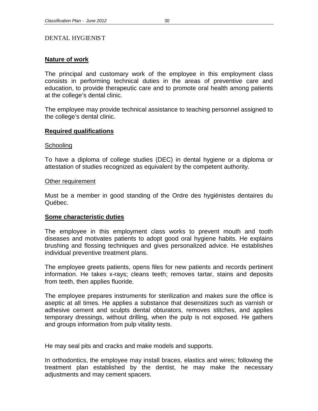## <span id="page-35-0"></span>DENTAL HYGIENIST

## **Nature of work**

The principal and customary work of the employee in this employment class consists in performing technical duties in the areas of preventive care and education, to provide therapeutic care and to promote oral health among patients at the college's dental clinic.

The employee may provide technical assistance to teaching personnel assigned to the college's dental clinic.

#### **Required qualifications**

#### **Schooling**

To have a diploma of college studies (DEC) in dental hygiene or a diploma or attestation of studies recognized as equivalent by the competent authority.

#### Other requirement

Must be a member in good standing of the Ordre des hygiénistes dentaires du Québec.

## **Some characteristic duties**

The employee in this employment class works to prevent mouth and tooth diseases and motivates patients to adopt good oral hygiene habits. He explains brushing and flossing techniques and gives personalized advice. He establishes individual preventive treatment plans.

The employee greets patients, opens files for new patients and records pertinent information. He takes x-rays; cleans teeth; removes tartar, stains and deposits from teeth, then applies fluoride.

The employee prepares instruments for sterilization and makes sure the office is aseptic at all times. He applies a substance that desensitizes such as varnish or adhesive cement and sculpts dental obturators, removes stitches, and applies temporary dressings, without drilling, when the pulp is not exposed. He gathers and groups information from pulp vitality tests.

He may seal pits and cracks and make models and supports.

In orthodontics, the employee may install braces, elastics and wires; following the treatment plan established by the dentist, he may make the necessary adjustments and may cement spacers.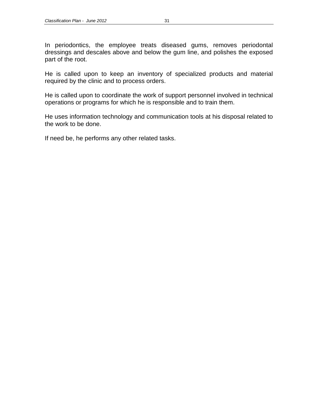In periodontics, the employee treats diseased gums, removes periodontal dressings and descales above and below the gum line, and polishes the exposed part of the root.

He is called upon to keep an inventory of specialized products and material required by the clinic and to process orders.

He is called upon to coordinate the work of support personnel involved in technical operations or programs for which he is responsible and to train them.

He uses information technology and communication tools at his disposal related to the work to be done.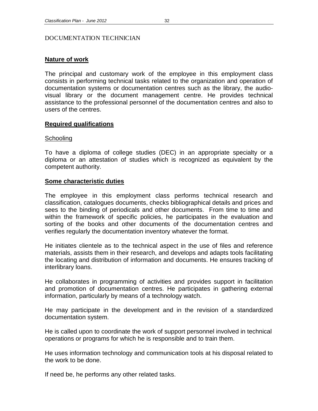# DOCUMENTATION TECHNICIAN

# **Nature of work**

The principal and customary work of the employee in this employment class consists in performing technical tasks related to the organization and operation of documentation systems or documentation centres such as the library, the audiovisual library or the document management centre. He provides technical assistance to the professional personnel of the documentation centres and also to users of the centres.

# **Required qualifications**

# Schooling

To have a diploma of college studies (DEC) in an appropriate specialty or a diploma or an attestation of studies which is recognized as equivalent by the competent authority.

# **Some characteristic duties**

The employee in this employment class performs technical research and classification, catalogues documents, checks bibliographical details and prices and sees to the binding of periodicals and other documents. From time to time and within the framework of specific policies, he participates in the evaluation and sorting of the books and other documents of the documentation centres and verifies regularly the documentation inventory whatever the format.

He initiates clientele as to the technical aspect in the use of files and reference materials, assists them in their research, and develops and adapts tools facilitating the locating and distribution of information and documents. He ensures tracking of interlibrary loans.

He collaborates in programming of activities and provides support in facilitation and promotion of documentation centres. He participates in gathering external information, particularly by means of a technology watch.

He may participate in the development and in the revision of a standardized documentation system.

He is called upon to coordinate the work of support personnel involved in technical operations or programs for which he is responsible and to train them.

He uses information technology and communication tools at his disposal related to the work to be done.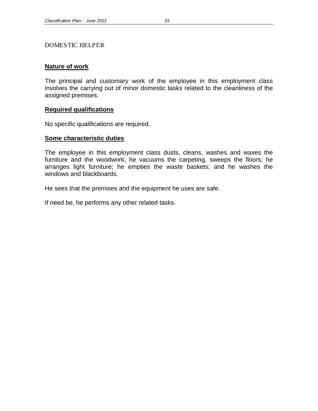#### DOMESTIC HELPER

#### **Nature of work**

The principal and customary work of the employee in this employment class involves the carrying out of minor domestic tasks related to the cleanliness of the assigned premises.

# **Required qualifications**

No specific qualifications are required.

#### **Some characteristic duties**

The employee in this employment class dusts, cleans, washes and waxes the furniture and the woodwork; he vacuums the carpeting, sweeps the floors; he arranges light furniture; he empties the waste baskets; and he washes the windows and blackboards.

He sees that the premises and the equipment he uses are safe.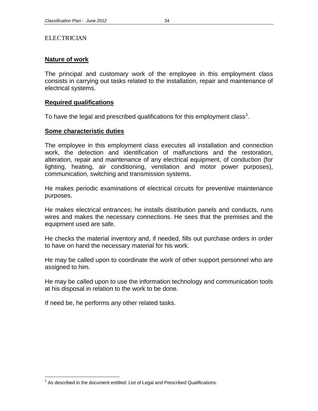# **ELECTRICIAN**

# **Nature of work**

The principal and customary work of the employee in this employment class consists in carrying out tasks related to the installation, repair and maintenance of electrical systems.

# **Required qualifications**

To have the legal and prescribed qualifications for this employment class<sup>[1](#page-39-0)</sup>.

# **Some characteristic duties**

The employee in this employment class executes all installation and connection work, the detection and identification of malfunctions and the restoration, alteration, repair and maintenance of any electrical equipment, of conduction (for lighting, heating, air conditioning, ventilation and motor power purposes), communication, switching and transmission systems.

He makes periodic examinations of electrical circuits for preventive maintenance purposes.

He makes electrical entrances; he installs distribution panels and conducts, runs wires and makes the necessary connections. He sees that the premises and the equipment used are safe.

He checks the material inventory and, if needed, fills out purchase orders in order to have on hand the necessary material for his work.

He may be called upon to coordinate the work of other support personnel who are assigned to him.

He may be called upon to use the information technology and communication tools at his disposal in relation to the work to be done.

<span id="page-39-0"></span> $<sup>1</sup>$  As described in the document entitled: List of Legal and Prescribed Qualifications.</sup>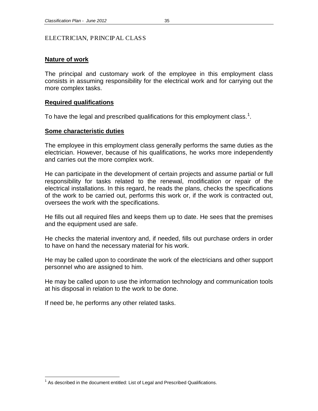# ELECTRICIAN, PRINCIPAL CLASS

# **Nature of work**

The principal and customary work of the employee in this employment class consists in assuming responsibility for the electrical work and for carrying out the more complex tasks.

# **Required qualifications**

To have the legal and prescribed qualifications for this employment class.<sup>[1](#page-40-0)</sup>.

# **Some characteristic duties**

The employee in this employment class generally performs the same duties as the electrician. However, because of his qualifications, he works more independently and carries out the more complex work.

He can participate in the development of certain projects and assume partial or full responsibility for tasks related to the renewal, modification or repair of the electrical installations. In this regard, he reads the plans, checks the specifications of the work to be carried out, performs this work or, if the work is contracted out, oversees the work with the specifications.

He fills out all required files and keeps them up to date. He sees that the premises and the equipment used are safe.

He checks the material inventory and, if needed, fills out purchase orders in order to have on hand the necessary material for his work.

He may be called upon to coordinate the work of the electricians and other support personnel who are assigned to him.

He may be called upon to use the information technology and communication tools at his disposal in relation to the work to be done.

<span id="page-40-0"></span> $<sup>1</sup>$  As described in the document entitled: List of Legal and Prescribed Qualifications.</sup>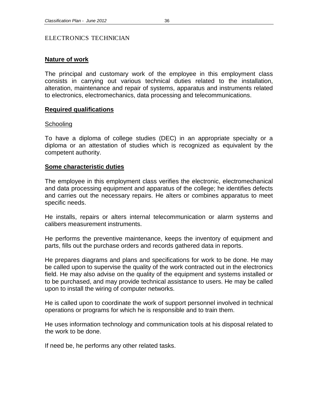# ELECTRONICS TECHNICIAN

#### **Nature of work**

The principal and customary work of the employee in this employment class consists in carrying out various technical duties related to the installation, alteration, maintenance and repair of systems, apparatus and instruments related to electronics, electromechanics, data processing and telecommunications.

#### **Required qualifications**

#### **Schooling**

To have a diploma of college studies (DEC) in an appropriate specialty or a diploma or an attestation of studies which is recognized as equivalent by the competent authority.

#### **Some characteristic duties**

The employee in this employment class verifies the electronic, electromechanical and data processing equipment and apparatus of the college; he identifies defects and carries out the necessary repairs. He alters or combines apparatus to meet specific needs.

He installs, repairs or alters internal telecommunication or alarm systems and calibers measurement instruments.

He performs the preventive maintenance, keeps the inventory of equipment and parts, fills out the purchase orders and records gathered data in reports.

He prepares diagrams and plans and specifications for work to be done. He may be called upon to supervise the quality of the work contracted out in the electronics field. He may also advise on the quality of the equipment and systems installed or to be purchased, and may provide technical assistance to users. He may be called upon to install the wiring of computer networks.

He is called upon to coordinate the work of support personnel involved in technical operations or programs for which he is responsible and to train them.

He uses information technology and communication tools at his disposal related to the work to be done.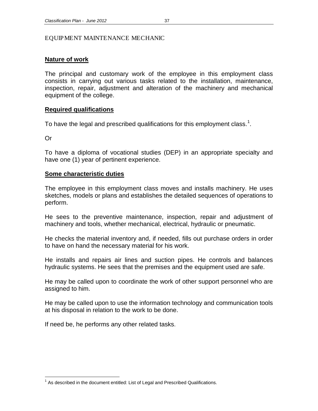#### EQUIPMENT MAINTENANCE MECHANIC

# **Nature of work**

The principal and customary work of the employee in this employment class consists in carrying out various tasks related to the installation, maintenance, inspection, repair, adjustment and alteration of the machinery and mechanical equipment of the college.

# **Required qualifications**

To have the legal and prescribed qualifications for this employment class.<sup>[1](#page-42-0)</sup>.

Or

To have a diploma of vocational studies (DEP) in an appropriate specialty and have one (1) year of pertinent experience.

# **Some characteristic duties**

The employee in this employment class moves and installs machinery. He uses sketches, models or plans and establishes the detailed sequences of operations to perform.

He sees to the preventive maintenance, inspection, repair and adjustment of machinery and tools, whether mechanical, electrical, hydraulic or pneumatic.

He checks the material inventory and, if needed, fills out purchase orders in order to have on hand the necessary material for his work.

He installs and repairs air lines and suction pipes. He controls and balances hydraulic systems. He sees that the premises and the equipment used are safe.

He may be called upon to coordinate the work of other support personnel who are assigned to him.

He may be called upon to use the information technology and communication tools at his disposal in relation to the work to be done.

<span id="page-42-0"></span> $<sup>1</sup>$  As described in the document entitled: List of Legal and Prescribed Qualifications.</sup>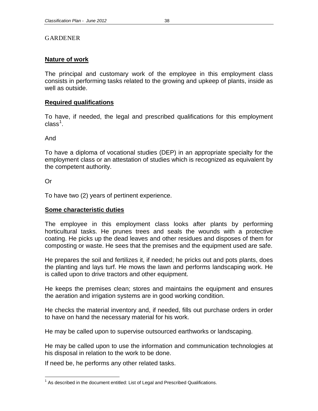# **GARDENER**

# **Nature of work**

The principal and customary work of the employee in this employment class consists in performing tasks related to the growing and upkeep of plants, inside as well as outside.

# **Required qualifications**

To have, if needed, the legal and prescribed qualifications for this employment class $^1$  $^1$ .

And

To have a diploma of vocational studies (DEP) in an appropriate specialty for the employment class or an attestation of studies which is recognized as equivalent by the competent authority.

Or

To have two (2) years of pertinent experience.

# **Some characteristic duties**

The employee in this employment class looks after plants by performing horticultural tasks. He prunes trees and seals the wounds with a protective coating. He picks up the dead leaves and other residues and disposes of them for composting or waste. He sees that the premises and the equipment used are safe.

He prepares the soil and fertilizes it, if needed; he pricks out and pots plants, does the planting and lays turf. He mows the lawn and performs landscaping work. He is called upon to drive tractors and other equipment.

He keeps the premises clean; stores and maintains the equipment and ensures the aeration and irrigation systems are in good working condition.

He checks the material inventory and, if needed, fills out purchase orders in order to have on hand the necessary material for his work.

He may be called upon to supervise outsourced earthworks or landscaping.

He may be called upon to use the information and communication technologies at his disposal in relation to the work to be done.

<span id="page-43-0"></span> $<sup>1</sup>$  As described in the document entitled: List of Legal and Prescribed Qualifications.</sup>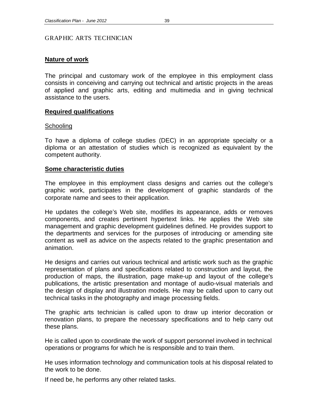#### GRAPHIC ARTS TECHNICIAN

# **Nature of work**

The principal and customary work of the employee in this employment class consists in conceiving and carrying out technical and artistic projects in the areas of applied and graphic arts, editing and multimedia and in giving technical assistance to the users.

# **Required qualifications**

#### **Schooling**

To have a diploma of college studies (DEC) in an appropriate specialty or a diploma or an attestation of studies which is recognized as equivalent by the competent authority.

#### **Some characteristic duties**

The employee in this employment class designs and carries out the college's graphic work, participates in the development of graphic standards of the corporate name and sees to their application.

He updates the college's Web site, modifies its appearance, adds or removes components, and creates pertinent hypertext links. He applies the Web site management and graphic development guidelines defined. He provides support to the departments and services for the purposes of introducing or amending site content as well as advice on the aspects related to the graphic presentation and animation.

He designs and carries out various technical and artistic work such as the graphic representation of plans and specifications related to construction and layout, the production of maps, the illustration, page make-up and layout of the college's publications, the artistic presentation and montage of audio-visual materials and the design of display and illustration models. He may be called upon to carry out technical tasks in the photography and image processing fields.

The graphic arts technician is called upon to draw up interior decoration or renovation plans, to prepare the necessary specifications and to help carry out these plans.

He is called upon to coordinate the work of support personnel involved in technical operations or programs for which he is responsible and to train them.

He uses information technology and communication tools at his disposal related to the work to be done.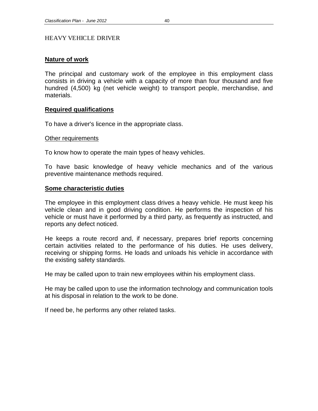# HEAVY VEHICLE DRIVER

# **Nature of work**

The principal and customary work of the employee in this employment class consists in driving a vehicle with a capacity of more than four thousand and five hundred (4,500) kg (net vehicle weight) to transport people, merchandise, and materials.

# **Required qualifications**

To have a driver's licence in the appropriate class.

#### Other requirements

To know how to operate the main types of heavy vehicles.

To have basic knowledge of heavy vehicle mechanics and of the various preventive maintenance methods required.

# **Some characteristic duties**

The employee in this employment class drives a heavy vehicle. He must keep his vehicle clean and in good driving condition. He performs the inspection of his vehicle or must have it performed by a third party, as frequently as instructed, and reports any defect noticed.

He keeps a route record and, if necessary, prepares brief reports concerning certain activities related to the performance of his duties. He uses delivery, receiving or shipping forms. He loads and unloads his vehicle in accordance with the existing safety standards.

He may be called upon to train new employees within his employment class.

He may be called upon to use the information technology and communication tools at his disposal in relation to the work to be done.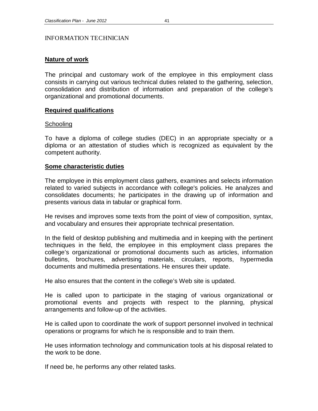#### INFORMATION TECHNICIAN

# **Nature of work**

The principal and customary work of the employee in this employment class consists in carrying out various technical duties related to the gathering, selection, consolidation and distribution of information and preparation of the college's organizational and promotional documents.

# **Required qualifications**

# **Schooling**

To have a diploma of college studies (DEC) in an appropriate specialty or a diploma or an attestation of studies which is recognized as equivalent by the competent authority.

# **Some characteristic duties**

The employee in this employment class gathers, examines and selects information related to varied subjects in accordance with college's policies. He analyzes and consolidates documents; he participates in the drawing up of information and presents various data in tabular or graphical form.

He revises and improves some texts from the point of view of composition, syntax, and vocabulary and ensures their appropriate technical presentation.

In the field of desktop publishing and multimedia and in keeping with the pertinent techniques in the field, the employee in this employment class prepares the college's organizational or promotional documents such as articles, information bulletins, brochures, advertising materials, circulars, reports, hypermedia documents and multimedia presentations. He ensures their update.

He also ensures that the content in the college's Web site is updated.

He is called upon to participate in the staging of various organizational or promotional events and projects with respect to the planning, physical arrangements and follow-up of the activities.

He is called upon to coordinate the work of support personnel involved in technical operations or programs for which he is responsible and to train them.

He uses information technology and communication tools at his disposal related to the work to be done.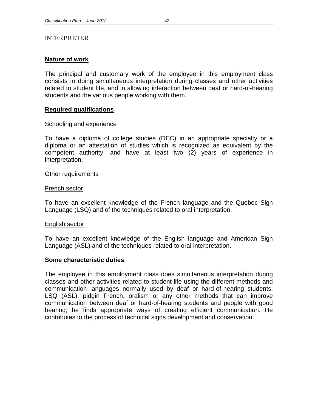#### INTERPRETER

# **Nature of work**

The principal and customary work of the employee in this employment class consists in doing simultaneous interpretation during classes and other activities related to student life, and in allowing interaction between deaf or hard-of-hearing students and the various people working with them.

# **Required qualifications**

#### Schooling and experience

To have a diploma of college studies (DEC) in an appropriate specialty or a diploma or an attestation of studies which is recognized as equivalent by the competent authority, and have at least two (2) years of experience in interpretation.

#### Other requirements

#### French sector

To have an excellent knowledge of the French language and the Quebec Sign Language (LSQ) and of the techniques related to oral interpretation.

#### English sector

To have an excellent knowledge of the English language and American Sign Language (ASL) and of the techniques related to oral interpretation.

#### **Some characteristic duties**

The employee in this employment class does simultaneous interpretation during classes and other activities related to student life using the different methods and communication languages normally used by deaf or hard-of-hearing students: LSQ (ASL), pidgin French, oralism or any other methods that can improve communication between deaf or hard-of-hearing students and people with good hearing; he finds appropriate ways of creating efficient communication. He contributes to the process of technical signs development and conservation.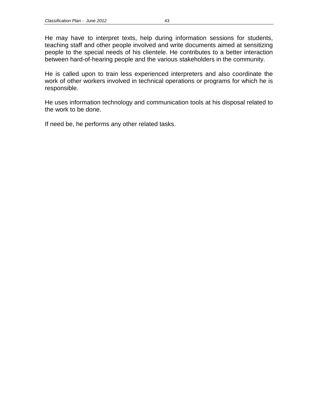He may have to interpret texts, help during information sessions for students, teaching staff and other people involved and write documents aimed at sensitizing people to the special needs of his clientele. He contributes to a better interaction between hard-of-hearing people and the various stakeholders in the community.

He is called upon to train less experienced interpreters and also coordinate the work of other workers involved in technical operations or programs for which he is responsible.

He uses information technology and communication tools at his disposal related to the work to be done.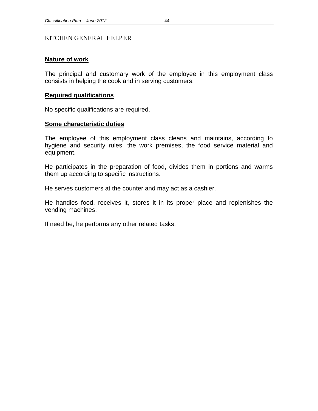#### KITCHEN GENERAL HELPER

#### **Nature of work**

The principal and customary work of the employee in this employment class consists in helping the cook and in serving customers.

#### **Required qualifications**

No specific qualifications are required.

#### **Some characteristic duties**

The employee of this employment class cleans and maintains, according to hygiene and security rules, the work premises, the food service material and equipment.

He participates in the preparation of food, divides them in portions and warms them up according to specific instructions.

He serves customers at the counter and may act as a cashier.

He handles food, receives it, stores it in its proper place and replenishes the vending machines.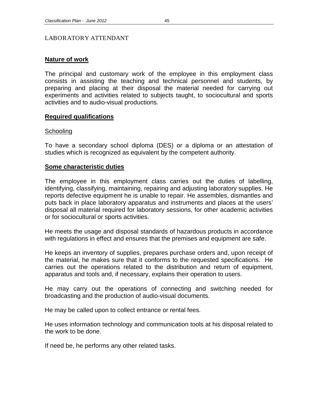# LABORATORY ATTENDANT

# **Nature of work**

The principal and customary work of the employee in this employment class consists in assisting the teaching and technical personnel and students, by preparing and placing at their disposal the material needed for carrying out experiments and activities related to subjects taught, to sociocultural and sports activities and to audio-visual productions.

# **Required qualifications**

#### **Schooling**

To have a secondary school diploma (DES) or a diploma or an attestation of studies which is recognized as equivalent by the competent authority.

# **Some characteristic duties**

The employee in this employment class carries out the duties of labelling, identifying, classifying, maintaining, repairing and adjusting laboratory supplies. He reports defective equipment he is unable to repair. He assembles, dismantles and puts back in place laboratory apparatus and instruments and places at the users' disposal all material required for laboratory sessions, for other academic activities or for sociocultural or sports activities.

He meets the usage and disposal standards of hazardous products in accordance with regulations in effect and ensures that the premises and equipment are safe.

He keeps an inventory of supplies, prepares purchase orders and, upon receipt of the material, he makes sure that it conforms to the requested specifications. He carries out the operations related to the distribution and return of equipment, apparatus and tools and, if necessary, explains their operation to users.

He may carry out the operations of connecting and switching needed for broadcasting and the production of audio-visual documents.

He may be called upon to collect entrance or rental fees.

He uses information technology and communication tools at his disposal related to the work to be done.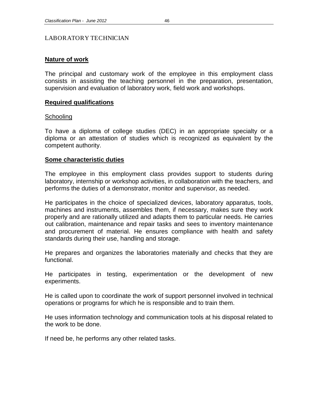#### LABORATORY TECHNICIAN

# **Nature of work**

The principal and customary work of the employee in this employment class consists in assisting the teaching personnel in the preparation, presentation, supervision and evaluation of laboratory work, field work and workshops.

# **Required qualifications**

#### **Schooling**

To have a diploma of college studies (DEC) in an appropriate specialty or a diploma or an attestation of studies which is recognized as equivalent by the competent authority.

# **Some characteristic duties**

The employee in this employment class provides support to students during laboratory, internship or workshop activities, in collaboration with the teachers, and performs the duties of a demonstrator, monitor and supervisor, as needed.

He participates in the choice of specialized devices, laboratory apparatus, tools, machines and instruments, assembles them, if necessary, makes sure they work properly and are rationally utilized and adapts them to particular needs. He carries out calibration, maintenance and repair tasks and sees to inventory maintenance and procurement of material. He ensures compliance with health and safety standards during their use, handling and storage.

He prepares and organizes the laboratories materially and checks that they are functional.

He participates in testing, experimentation or the development of new experiments.

He is called upon to coordinate the work of support personnel involved in technical operations or programs for which he is responsible and to train them.

He uses information technology and communication tools at his disposal related to the work to be done.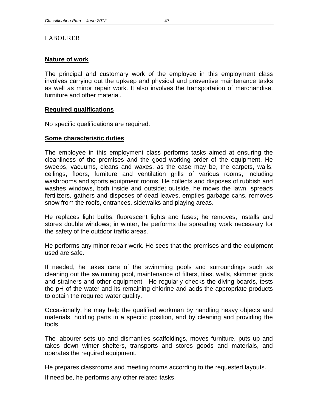# LABOURER

# **Nature of work**

The principal and customary work of the employee in this employment class involves carrying out the upkeep and physical and preventive maintenance tasks as well as minor repair work. It also involves the transportation of merchandise, furniture and other material.

# **Required qualifications**

No specific qualifications are required.

# **Some characteristic duties**

The employee in this employment class performs tasks aimed at ensuring the cleanliness of the premises and the good working order of the equipment. He sweeps, vacuums, cleans and waxes, as the case may be, the carpets, walls, ceilings, floors, furniture and ventilation grills of various rooms, including washrooms and sports equipment rooms. He collects and disposes of rubbish and washes windows, both inside and outside; outside, he mows the lawn, spreads fertilizers, gathers and disposes of dead leaves, empties garbage cans, removes snow from the roofs, entrances, sidewalks and playing areas.

He replaces light bulbs, fluorescent lights and fuses; he removes, installs and stores double windows; in winter, he performs the spreading work necessary for the safety of the outdoor traffic areas.

He performs any minor repair work. He sees that the premises and the equipment used are safe.

If needed, he takes care of the swimming pools and surroundings such as cleaning out the swimming pool, maintenance of filters, tiles, walls, skimmer grids and strainers and other equipment. He regularly checks the diving boards, tests the pH of the water and its remaining chlorine and adds the appropriate products to obtain the required water quality.

Occasionally, he may help the qualified workman by handling heavy objects and materials, holding parts in a specific position, and by cleaning and providing the tools.

The labourer sets up and dismantles scaffoldings, moves furniture, puts up and takes down winter shelters, transports and stores goods and materials, and operates the required equipment.

He prepares classrooms and meeting rooms according to the requested layouts.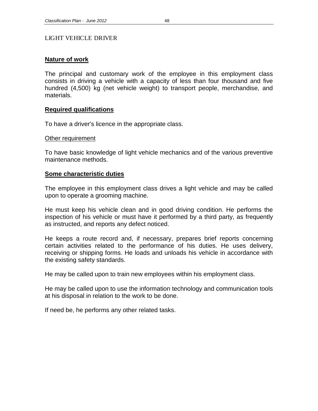# LIGHT VEHICLE DRIVER

# **Nature of work**

The principal and customary work of the employee in this employment class consists in driving a vehicle with a capacity of less than four thousand and five hundred (4,500) kg (net vehicle weight) to transport people, merchandise, and materials.

# **Required qualifications**

To have a driver's licence in the appropriate class.

#### Other requirement

To have basic knowledge of light vehicle mechanics and of the various preventive maintenance methods.

#### **Some characteristic duties**

The employee in this employment class drives a light vehicle and may be called upon to operate a grooming machine.

He must keep his vehicle clean and in good driving condition. He performs the inspection of his vehicle or must have it performed by a third party, as frequently as instructed, and reports any defect noticed.

He keeps a route record and, if necessary, prepares brief reports concerning certain activities related to the performance of his duties. He uses delivery, receiving or shipping forms. He loads and unloads his vehicle in accordance with the existing safety standards.

He may be called upon to train new employees within his employment class.

He may be called upon to use the information technology and communication tools at his disposal in relation to the work to be done.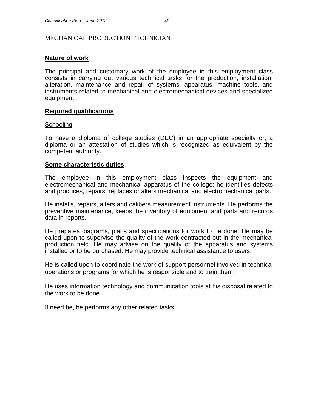# **Nature of work**

The principal and customary work of the employee in this employment class consists in carrying out various technical tasks for the production, installation, alteration, maintenance and repair of systems, apparatus, machine tools, and instruments related to mechanical and electromechanical devices and specialized equipment.

# **Required qualifications**

#### **Schooling**

To have a diploma of college studies (DEC) in an appropriate specialty or, a diploma or an attestation of studies which is recognized as equivalent by the competent authority.

# **Some characteristic duties**

The employee in this employment class inspects the equipment and electromechanical and mechanical apparatus of the college; he identifies defects and produces, repairs, replaces or alters mechanical and electromechanical parts.

He installs, repairs, alters and calibers measurement instruments. He performs the preventive maintenance, keeps the inventory of equipment and parts and records data in reports.

He prepares diagrams, plans and specifications for work to be done. He may be called upon to supervise the quality of the work contracted out in the mechanical production field. He may advise on the quality of the apparatus and systems installed or to be purchased. He may provide technical assistance to users.

He is called upon to coordinate the work of support personnel involved in technical operations or programs for which he is responsible and to train them.

He uses information technology and communication tools at his disposal related to the work to be done.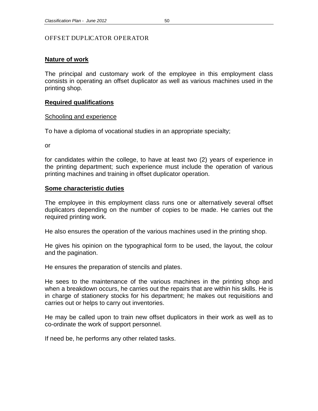# OFFSET DUPLICATOR OPERATOR

# **Nature of work**

The principal and customary work of the employee in this employment class consists in operating an offset duplicator as well as various machines used in the printing shop.

# **Required qualifications**

# Schooling and experience

To have a diploma of vocational studies in an appropriate specialty;

or

for candidates within the college, to have at least two (2) years of experience in the printing department; such experience must include the operation of various printing machines and training in offset duplicator operation.

# **Some characteristic duties**

The employee in this employment class runs one or alternatively several offset duplicators depending on the number of copies to be made. He carries out the required printing work.

He also ensures the operation of the various machines used in the printing shop.

He gives his opinion on the typographical form to be used, the layout, the colour and the pagination.

He ensures the preparation of stencils and plates.

He sees to the maintenance of the various machines in the printing shop and when a breakdown occurs, he carries out the repairs that are within his skills. He is in charge of stationery stocks for his department; he makes out requisitions and carries out or helps to carry out inventories.

He may be called upon to train new offset duplicators in their work as well as to co-ordinate the work of support personnel.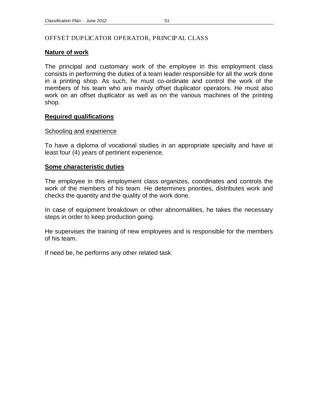# OFFSET DUPLICATOR OPERATOR, PRINCIPAL CLASS

#### **Nature of work**

The principal and customary work of the employee in this employment class consists in performing the duties of a team leader responsible for all the work done in a printing shop. As such, he must co-ordinate and control the work of the members of his team who are mainly offset duplicator operators. He must also work on an offset duplicator as well as on the various machines of the printing shop.

# **Required qualifications**

#### Schooling and experience

To have a diploma of vocational studies in an appropriate specialty and have at least four (4) years of pertinent experience.

# **Some characteristic duties**

The employee in this employment class organizes, coordinates and controls the work of the members of his team. He determines priorities, distributes work and checks the quantity and the quality of the work done.

In case of equipment breakdown or other abnormalities, he takes the necessary steps in order to keep production going.

He supervises the training of new employees and is responsible for the members of his team.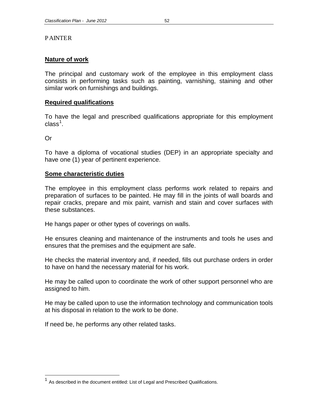# PAINTER

# **Nature of work**

The principal and customary work of the employee in this employment class consists in performing tasks such as painting, varnishing, staining and other similar work on furnishings and buildings.

# **Required qualifications**

To have the legal and prescribed qualifications appropriate for this employment class $^1$  $^1$ .

Or

To have a diploma of vocational studies (DEP) in an appropriate specialty and have one (1) year of pertinent experience.

# **Some characteristic duties**

The employee in this employment class performs work related to repairs and preparation of surfaces to be painted. He may fill in the joints of wall boards and repair cracks, prepare and mix paint, varnish and stain and cover surfaces with these substances.

He hangs paper or other types of coverings on walls.

He ensures cleaning and maintenance of the instruments and tools he uses and ensures that the premises and the equipment are safe.

He checks the material inventory and, if needed, fills out purchase orders in order to have on hand the necessary material for his work.

He may be called upon to coordinate the work of other support personnel who are assigned to him.

He may be called upon to use the information technology and communication tools at his disposal in relation to the work to be done.

<span id="page-57-0"></span><sup>&</sup>lt;sup>1</sup> As described in the document entitled: List of Legal and Prescribed Qualifications.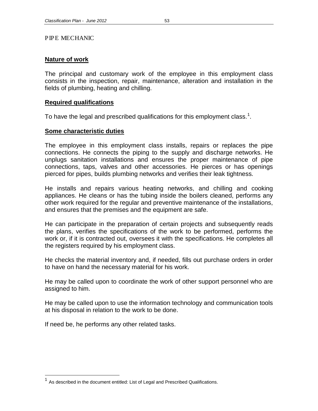#### PIPE MECHANIC

# **Nature of work**

The principal and customary work of the employee in this employment class consists in the inspection, repair, maintenance, alteration and installation in the fields of plumbing, heating and chilling.

# **Required qualifications**

To have the legal and prescribed qualifications for this employment class.<sup>[1](#page-58-0)</sup>.

# **Some characteristic duties**

The employee in this employment class installs, repairs or replaces the pipe connections. He connects the piping to the supply and discharge networks. He unplugs sanitation installations and ensures the proper maintenance of pipe connections, taps, valves and other accessories. He pierces or has openings pierced for pipes, builds plumbing networks and verifies their leak tightness.

He installs and repairs various heating networks, and chilling and cooking appliances. He cleans or has the tubing inside the boilers cleaned, performs any other work required for the regular and preventive maintenance of the installations, and ensures that the premises and the equipment are safe.

He can participate in the preparation of certain projects and subsequently reads the plans, verifies the specifications of the work to be performed, performs the work or, if it is contracted out, oversees it with the specifications. He completes all the registers required by his employment class.

He checks the material inventory and, if needed, fills out purchase orders in order to have on hand the necessary material for his work.

He may be called upon to coordinate the work of other support personnel who are assigned to him.

He may be called upon to use the information technology and communication tools at his disposal in relation to the work to be done.

<span id="page-58-0"></span><sup>&</sup>lt;sup>1</sup> As described in the document entitled: List of Legal and Prescribed Qualifications.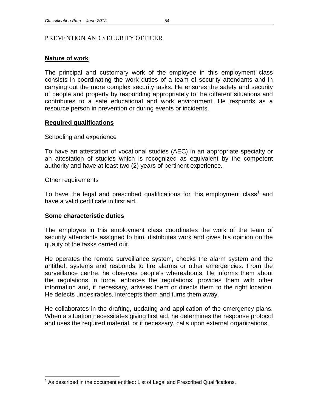# PREVENTION AND SECURITY OFFICER

#### **Nature of work**

The principal and customary work of the employee in this employment class consists in coordinating the work duties of a team of security attendants and in carrying out the more complex security tasks. He ensures the safety and security of people and property by responding appropriately to the different situations and contributes to a safe educational and work environment. He responds as a resource person in prevention or during events or incidents.

#### **Required qualifications**

#### Schooling and experience

To have an attestation of vocational studies (AEC) in an appropriate specialty or an attestation of studies which is recognized as equivalent by the competent authority and have at least two (2) years of pertinent experience.

#### Other requirements

To have the legal and prescribed qualifications for this employment class<sup>[1](#page-59-0)</sup> and have a valid certificate in first aid.

#### **Some characteristic duties**

The employee in this employment class coordinates the work of the team of security attendants assigned to him, distributes work and gives his opinion on the quality of the tasks carried out.

He operates the remote surveillance system, checks the alarm system and the antitheft systems and responds to fire alarms or other emergencies. From the surveillance centre, he observes people's whereabouts. He informs them about the regulations in force, enforces the regulations, provides them with other information and, if necessary, advises them or directs them to the right location. He detects undesirables, intercepts them and turns them away.

He collaborates in the drafting, updating and application of the emergency plans. When a situation necessitates giving first aid, he determines the response protocol and uses the required material, or if necessary, calls upon external organizations.

<span id="page-59-0"></span>As described in the document entitled: List of Legal and Prescribed Qualifications.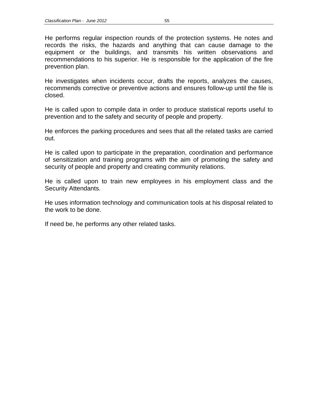He performs regular inspection rounds of the protection systems. He notes and records the risks, the hazards and anything that can cause damage to the equipment or the buildings, and transmits his written observations and recommendations to his superior. He is responsible for the application of the fire prevention plan.

He investigates when incidents occur, drafts the reports, analyzes the causes, recommends corrective or preventive actions and ensures follow-up until the file is closed.

He is called upon to compile data in order to produce statistical reports useful to prevention and to the safety and security of people and property.

He enforces the parking procedures and sees that all the related tasks are carried out.

He is called upon to participate in the preparation, coordination and performance of sensitization and training programs with the aim of promoting the safety and security of people and property and creating community relations.

He is called upon to train new employees in his employment class and the Security Attendants.

He uses information technology and communication tools at his disposal related to the work to be done.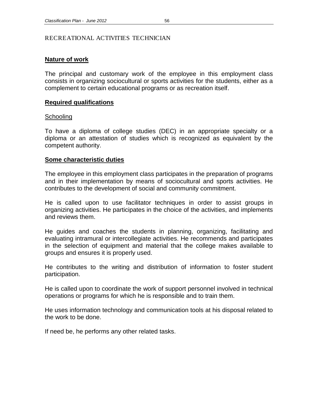# RECREATIONAL ACTIVITIES TECHNICIAN

# **Nature of work**

The principal and customary work of the employee in this employment class consists in organizing sociocultural or sports activities for the students, either as a complement to certain educational programs or as recreation itself.

# **Required qualifications**

#### **Schooling**

To have a diploma of college studies (DEC) in an appropriate specialty or a diploma or an attestation of studies which is recognized as equivalent by the competent authority.

# **Some characteristic duties**

The employee in this employment class participates in the preparation of programs and in their implementation by means of sociocultural and sports activities. He contributes to the development of social and community commitment.

He is called upon to use facilitator techniques in order to assist groups in organizing activities. He participates in the choice of the activities, and implements and reviews them.

He guides and coaches the students in planning, organizing, facilitating and evaluating intramural or intercollegiate activities. He recommends and participates in the selection of equipment and material that the college makes available to groups and ensures it is properly used.

He contributes to the writing and distribution of information to foster student participation.

He is called upon to coordinate the work of support personnel involved in technical operations or programs for which he is responsible and to train them.

He uses information technology and communication tools at his disposal related to the work to be done.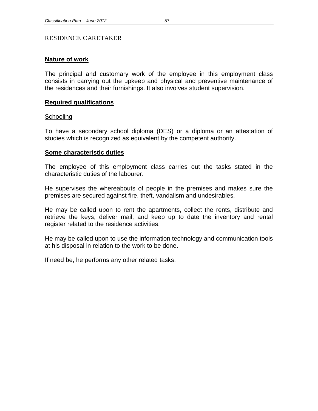#### RESIDENCE CARETAKER

# **Nature of work**

The principal and customary work of the employee in this employment class consists in carrying out the upkeep and physical and preventive maintenance of the residences and their furnishings. It also involves student supervision.

# **Required qualifications**

#### **Schooling**

To have a secondary school diploma (DES) or a diploma or an attestation of studies which is recognized as equivalent by the competent authority.

#### **Some characteristic duties**

The employee of this employment class carries out the tasks stated in the characteristic duties of the labourer.

He supervises the whereabouts of people in the premises and makes sure the premises are secured against fire, theft, vandalism and undesirables.

He may be called upon to rent the apartments, collect the rents, distribute and retrieve the keys, deliver mail, and keep up to date the inventory and rental register related to the residence activities.

He may be called upon to use the information technology and communication tools at his disposal in relation to the work to be done.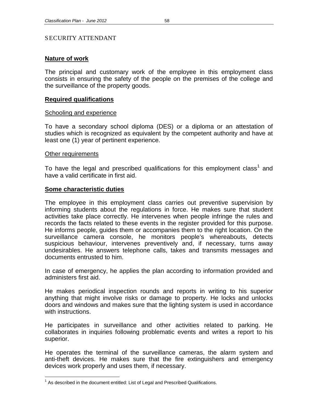# SECURITY ATTENDANT

#### **Nature of work**

The principal and customary work of the employee in this employment class consists in ensuring the safety of the people on the premises of the college and the surveillance of the property goods.

#### **Required qualifications**

#### Schooling and experience

To have a secondary school diploma (DES) or a diploma or an attestation of studies which is recognized as equivalent by the competent authority and have at least one (1) year of pertinent experience.

#### Other requirements

To have the legal and prescribed qualifications for this employment class<sup>[1](#page-63-0)</sup> and have a valid certificate in first aid.

#### **Some characteristic duties**

The employee in this employment class carries out preventive supervision by informing students about the regulations in force. He makes sure that student activities take place correctly. He intervenes when people infringe the rules and records the facts related to these events in the register provided for this purpose. He informs people, guides them or accompanies them to the right location. On the surveillance camera console, he monitors people's whereabouts, detects suspicious behaviour, intervenes preventively and, if necessary, turns away undesirables. He answers telephone calls, takes and transmits messages and documents entrusted to him.

In case of emergency, he applies the plan according to information provided and administers first aid.

He makes periodical inspection rounds and reports in writing to his superior anything that might involve risks or damage to property. He locks and unlocks doors and windows and makes sure that the lighting system is used in accordance with instructions.

He participates in surveillance and other activities related to parking. He collaborates in inquiries following problematic events and writes a report to his superior.

He operates the terminal of the surveillance cameras, the alarm system and anti-theft devices. He makes sure that the fire extinguishers and emergency devices work properly and uses them, if necessary.

<span id="page-63-0"></span> $<sup>1</sup>$  As described in the document entitled: List of Legal and Prescribed Qualifications.</sup>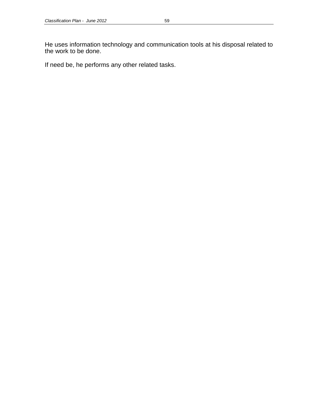He uses information technology and communication tools at his disposal related to the work to be done.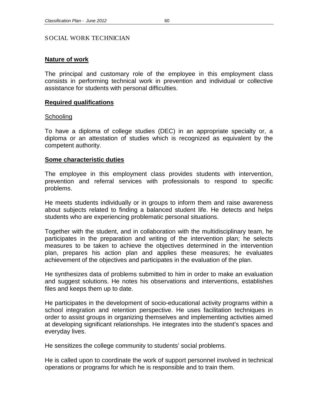#### SOCIAL WORK TECHNICIAN

# **Nature of work**

The principal and customary role of the employee in this employment class consists in performing technical work in prevention and individual or collective assistance for students with personal difficulties.

#### **Required qualifications**

#### **Schooling**

To have a diploma of college studies (DEC) in an appropriate specialty or, a diploma or an attestation of studies which is recognized as equivalent by the competent authority.

#### **Some characteristic duties**

The employee in this employment class provides students with intervention, prevention and referral services with professionals to respond to specific problems.

He meets students individually or in groups to inform them and raise awareness about subjects related to finding a balanced student life. He detects and helps students who are experiencing problematic personal situations.

Together with the student, and in collaboration with the multidisciplinary team, he participates in the preparation and writing of the intervention plan; he selects measures to be taken to achieve the objectives determined in the intervention plan, prepares his action plan and applies these measures; he evaluates achievement of the objectives and participates in the evaluation of the plan.

He synthesizes data of problems submitted to him in order to make an evaluation and suggest solutions. He notes his observations and interventions, establishes files and keeps them up to date.

He participates in the development of socio-educational activity programs within a school integration and retention perspective. He uses facilitation techniques in order to assist groups in organizing themselves and implementing activities aimed at developing significant relationships. He integrates into the student's spaces and everyday lives.

He sensitizes the college community to students' social problems.

He is called upon to coordinate the work of support personnel involved in technical operations or programs for which he is responsible and to train them.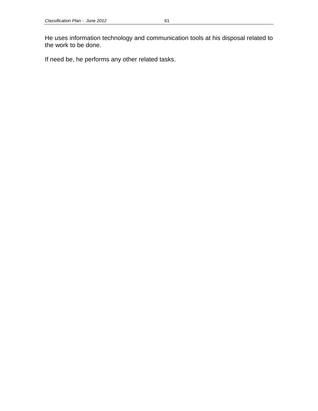He uses information technology and communication tools at his disposal related to the work to be done.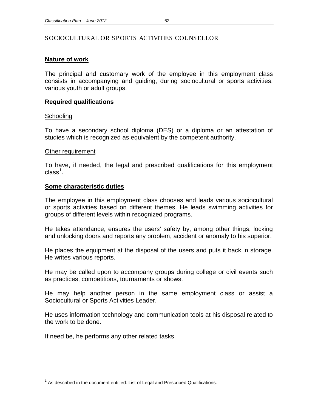# **Nature of work**

The principal and customary work of the employee in this employment class consists in accompanying and guiding, during sociocultural or sports activities, various youth or adult groups.

# **Required qualifications**

# **Schooling**

To have a secondary school diploma (DES) or a diploma or an attestation of studies which is recognized as equivalent by the competent authority.

# Other requirement

To have, if needed, the legal and prescribed qualifications for this employment class $^1$  $^1$ .

# **Some characteristic duties**

The employee in this employment class chooses and leads various sociocultural or sports activities based on different themes. He leads swimming activities for groups of different levels within recognized programs.

He takes attendance, ensures the users' safety by, among other things, locking and unlocking doors and reports any problem, accident or anomaly to his superior.

He places the equipment at the disposal of the users and puts it back in storage. He writes various reports.

He may be called upon to accompany groups during college or civil events such as practices, competitions, tournaments or shows.

He may help another person in the same employment class or assist a Sociocultural or Sports Activities Leader.

He uses information technology and communication tools at his disposal related to the work to be done.

<span id="page-67-0"></span> $<sup>1</sup>$  As described in the document entitled: List of Legal and Prescribed Qualifications.</sup>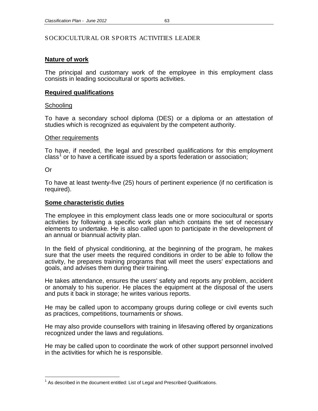# **Nature of work**

The principal and customary work of the employee in this employment class consists in leading sociocultural or sports activities.

# **Required qualifications**

#### **Schooling**

To have a secondary school diploma (DES) or a diploma or an attestation of studies which is recognized as equivalent by the competent authority.

#### Other requirements

To have, if needed, the legal and prescribed qualifications for this employment class<sup>[1](#page-68-0)</sup> or to have a certificate issued by a sports federation or association;

Or

To have at least twenty-five (25) hours of pertinent experience (if no certification is required).

# **Some characteristic duties**

The employee in this employment class leads one or more sociocultural or sports activities by following a specific work plan which contains the set of necessary elements to undertake. He is also called upon to participate in the development of an annual or biannual activity plan.

In the field of physical conditioning, at the beginning of the program, he makes sure that the user meets the required conditions in order to be able to follow the activity, he prepares training programs that will meet the users' expectations and goals, and advises them during their training.

He takes attendance, ensures the users' safety and reports any problem, accident or anomaly to his superior. He places the equipment at the disposal of the users and puts it back in storage; he writes various reports.

He may be called upon to accompany groups during college or civil events such as practices, competitions, tournaments or shows.

He may also provide counsellors with training in lifesaving offered by organizations recognized under the laws and regulations.

He may be called upon to coordinate the work of other support personnel involved in the activities for which he is responsible.

<span id="page-68-0"></span>As described in the document entitled: List of Legal and Prescribed Qualifications.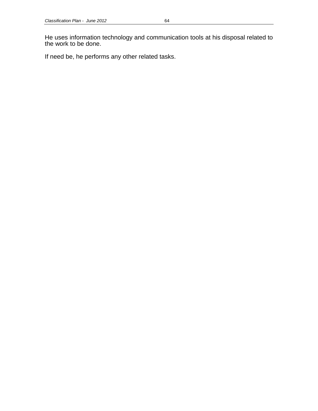He uses information technology and communication tools at his disposal related to the work to be done.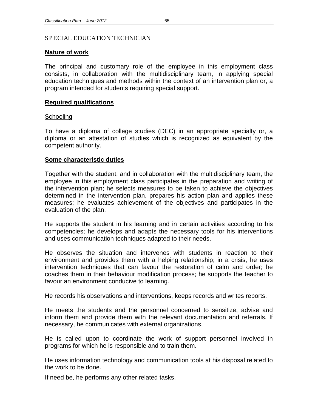# SPECIAL EDUCATION TECHNICIAN

# **Nature of work**

The principal and customary role of the employee in this employment class consists, in collaboration with the multidisciplinary team, in applying special education techniques and methods within the context of an intervention plan or, a program intended for students requiring special support.

# **Required qualifications**

# **Schooling**

To have a diploma of college studies (DEC) in an appropriate specialty or, a diploma or an attestation of studies which is recognized as equivalent by the competent authority.

# **Some characteristic duties**

Together with the student, and in collaboration with the multidisciplinary team, the employee in this employment class participates in the preparation and writing of the intervention plan; he selects measures to be taken to achieve the objectives determined in the intervention plan, prepares his action plan and applies these measures; he evaluates achievement of the objectives and participates in the evaluation of the plan.

He supports the student in his learning and in certain activities according to his competencies; he develops and adapts the necessary tools for his interventions and uses communication techniques adapted to their needs.

He observes the situation and intervenes with students in reaction to their environment and provides them with a helping relationship; in a crisis, he uses intervention techniques that can favour the restoration of calm and order; he coaches them in their behaviour modification process; he supports the teacher to favour an environment conducive to learning.

He records his observations and interventions, keeps records and writes reports.

He meets the students and the personnel concerned to sensitize, advise and inform them and provide them with the relevant documentation and referrals. If necessary, he communicates with external organizations.

He is called upon to coordinate the work of support personnel involved in programs for which he is responsible and to train them.

He uses information technology and communication tools at his disposal related to the work to be done.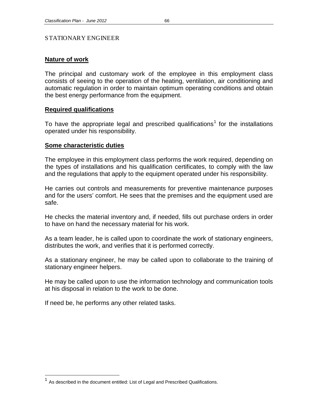# STATIONARY ENGINEER

# **Nature of work**

The principal and customary work of the employee in this employment class consists of seeing to the operation of the heating, ventilation, air conditioning and automatic regulation in order to maintain optimum operating conditions and obtain the best energy performance from the equipment.

# **Required qualifications**

To have the appropriate legal and prescribed qualifications<sup>[1](#page-71-0)</sup> for the installations operated under his responsibility.

#### **Some characteristic duties**

The employee in this employment class performs the work required, depending on the types of installations and his qualification certificates, to comply with the law and the regulations that apply to the equipment operated under his responsibility.

He carries out controls and measurements for preventive maintenance purposes and for the users' comfort. He sees that the premises and the equipment used are safe.

He checks the material inventory and, if needed, fills out purchase orders in order to have on hand the necessary material for his work.

As a team leader, he is called upon to coordinate the work of stationary engineers, distributes the work, and verifies that it is performed correctly.

As a stationary engineer, he may be called upon to collaborate to the training of stationary engineer helpers.

He may be called upon to use the information technology and communication tools at his disposal in relation to the work to be done.

<span id="page-71-0"></span><sup>&</sup>lt;sup>1</sup> As described in the document entitled: List of Legal and Prescribed Qualifications.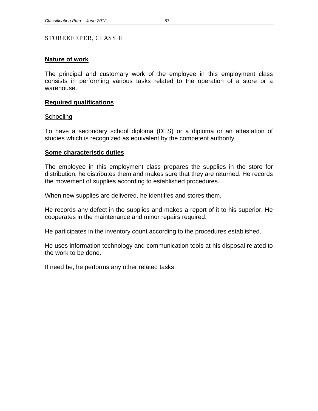# STOREKEEPER, CLASS II

# **Nature of work**

The principal and customary work of the employee in this employment class consists in performing various tasks related to the operation of a store or a warehouse.

## **Required qualifications**

## **Schooling**

To have a secondary school diploma (DES) or a diploma or an attestation of studies which is recognized as equivalent by the competent authority.

## **Some characteristic duties**

The employee in this employment class prepares the supplies in the store for distribution; he distributes them and makes sure that they are returned. He records the movement of supplies according to established procedures.

When new supplies are delivered, he identifies and stores them.

He records any defect in the supplies and makes a report of it to his superior. He cooperates in the maintenance and minor repairs required.

He participates in the inventory count according to the procedures established.

He uses information technology and communication tools at his disposal related to the work to be done.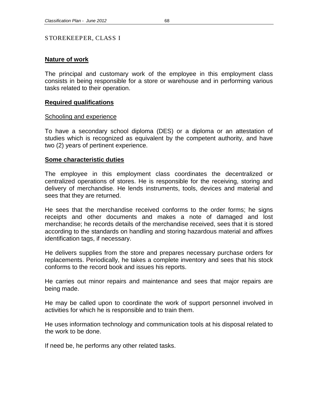# STOREKEEPER, CLASS I

# **Nature of work**

The principal and customary work of the employee in this employment class consists in being responsible for a store or warehouse and in performing various tasks related to their operation.

# **Required qualifications**

# Schooling and experience

To have a secondary school diploma (DES) or a diploma or an attestation of studies which is recognized as equivalent by the competent authority, and have two (2) years of pertinent experience.

# **Some characteristic duties**

The employee in this employment class coordinates the decentralized or centralized operations of stores. He is responsible for the receiving, storing and delivery of merchandise. He lends instruments, tools, devices and material and sees that they are returned.

He sees that the merchandise received conforms to the order forms; he signs receipts and other documents and makes a note of damaged and lost merchandise; he records details of the merchandise received, sees that it is stored according to the standards on handling and storing hazardous material and affixes identification tags, if necessary.

He delivers supplies from the store and prepares necessary purchase orders for replacements. Periodically, he takes a complete inventory and sees that his stock conforms to the record book and issues his reports.

He carries out minor repairs and maintenance and sees that major repairs are being made.

He may be called upon to coordinate the work of support personnel involved in activities for which he is responsible and to train them.

He uses information technology and communication tools at his disposal related to the work to be done.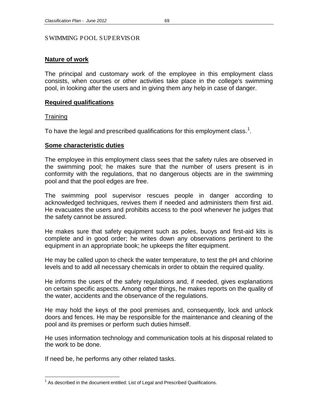## SWIMMING POOL SUPERVISOR

# **Nature of work**

The principal and customary work of the employee in this employment class consists, when courses or other activities take place in the college's swimming pool, in looking after the users and in giving them any help in case of danger.

# **Required qualifications**

# **Training**

To have the legal and prescribed qualifications for this employment class.<sup>[1](#page-74-0)</sup>.

# **Some characteristic duties**

The employee in this employment class sees that the safety rules are observed in the swimming pool; he makes sure that the number of users present is in conformity with the regulations, that no dangerous objects are in the swimming pool and that the pool edges are free.

The swimming pool supervisor rescues people in danger according to acknowledged techniques, revives them if needed and administers them first aid. He evacuates the users and prohibits access to the pool whenever he judges that the safety cannot be assured.

He makes sure that safety equipment such as poles, buoys and first-aid kits is complete and in good order; he writes down any observations pertinent to the equipment in an appropriate book; he upkeeps the filter equipment.

He may be called upon to check the water temperature, to test the pH and chlorine levels and to add all necessary chemicals in order to obtain the required quality.

He informs the users of the safety regulations and, if needed, gives explanations on certain specific aspects. Among other things, he makes reports on the quality of the water, accidents and the observance of the regulations.

He may hold the keys of the pool premises and, consequently, lock and unlock doors and fences. He may be responsible for the maintenance and cleaning of the pool and its premises or perform such duties himself.

He uses information technology and communication tools at his disposal related to the work to be done.

<span id="page-74-0"></span> $<sup>1</sup>$  As described in the document entitled: List of Legal and Prescribed Qualifications.</sup>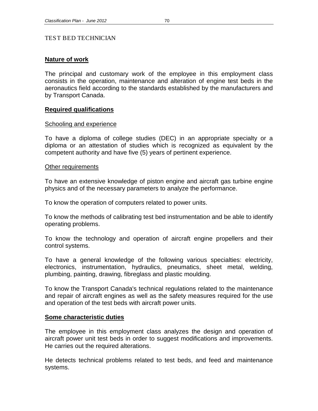# TEST BED TECHNICIAN

## **Nature of work**

The principal and customary work of the employee in this employment class consists in the operation, maintenance and alteration of engine test beds in the aeronautics field according to the standards established by the manufacturers and by Transport Canada.

## **Required qualifications**

#### Schooling and experience

To have a diploma of college studies (DEC) in an appropriate specialty or a diploma or an attestation of studies which is recognized as equivalent by the competent authority and have five (5) years of pertinent experience.

#### Other requirements

To have an extensive knowledge of piston engine and aircraft gas turbine engine physics and of the necessary parameters to analyze the performance.

To know the operation of computers related to power units.

To know the methods of calibrating test bed instrumentation and be able to identify operating problems.

To know the technology and operation of aircraft engine propellers and their control systems.

To have a general knowledge of the following various specialties: electricity, electronics, instrumentation, hydraulics, pneumatics, sheet metal, welding, plumbing, painting, drawing, fibreglass and plastic moulding.

To know the Transport Canada's technical regulations related to the maintenance and repair of aircraft engines as well as the safety measures required for the use and operation of the test beds with aircraft power units.

## **Some characteristic duties**

The employee in this employment class analyzes the design and operation of aircraft power unit test beds in order to suggest modifications and improvements. He carries out the required alterations.

He detects technical problems related to test beds, and feed and maintenance systems.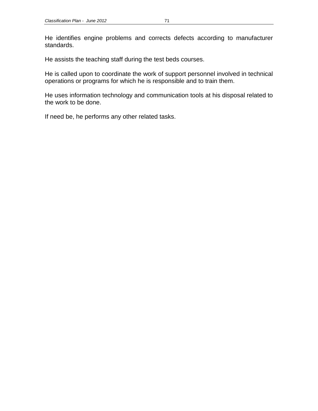He identifies engine problems and corrects defects according to manufacturer standards.

He assists the teaching staff during the test beds courses.

He is called upon to coordinate the work of support personnel involved in technical operations or programs for which he is responsible and to train them.

He uses information technology and communication tools at his disposal related to the work to be done.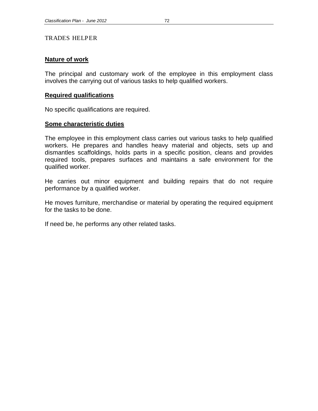## TRADES HELPER

# **Nature of work**

The principal and customary work of the employee in this employment class involves the carrying out of various tasks to help qualified workers.

# **Required qualifications**

No specific qualifications are required.

## **Some characteristic duties**

The employee in this employment class carries out various tasks to help qualified workers. He prepares and handles heavy material and objects, sets up and dismantles scaffoldings, holds parts in a specific position, cleans and provides required tools, prepares surfaces and maintains a safe environment for the qualified worker.

He carries out minor equipment and building repairs that do not require performance by a qualified worker.

He moves furniture, merchandise or material by operating the required equipment for the tasks to be done.